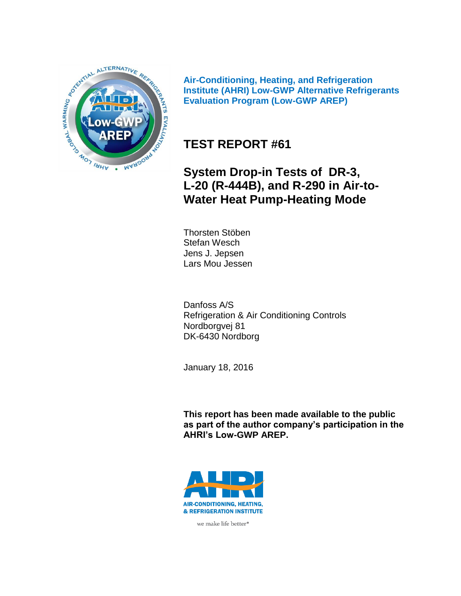

**Air-Conditioning, Heating, and Refrigeration Institute (AHRI) Low-GWP Alternative Refrigerants Evaluation Program (Low-GWP AREP)**

# **TEST REPORT #61**

**System Drop-in Tests of DR-3, L-20 (R-444B), and R-290 in Air-to-Water Heat Pump-Heating Mode**

Thorsten Stöben Stefan Wesch Jens J. Jepsen Lars Mou Jessen

Danfoss A/S Refrigeration & Air Conditioning Controls Nordborgvej 81 DK-6430 Nordborg

January 18, 2016

**This report has been made available to the public as part of the author company's participation in the AHRI's Low-GWP AREP.**



we make life better<sup>®</sup>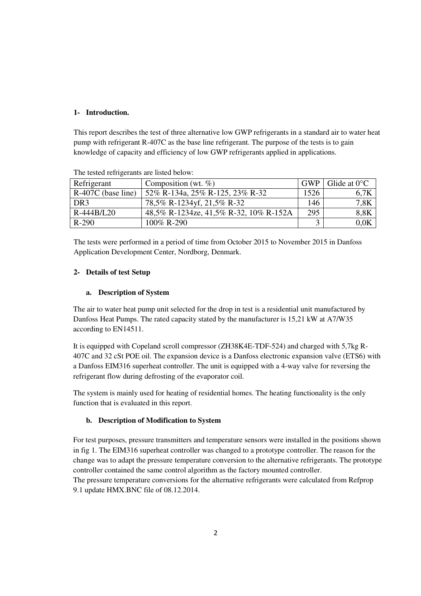### **1- Introduction.**

This report describes the test of three alternative low GWP refrigerants in a standard air to water heat pump with refrigerant R-407C as the base line refrigerant. The purpose of the tests is to gain knowledge of capacity and efficiency of low GWP refrigerants applied in applications.

| Refrigerant          | Composition (wt. $\%$ )                | GWP         | Glide at $0^{\circ}$ C |
|----------------------|----------------------------------------|-------------|------------------------|
| $R-407C$ (base line) | 52% R-134a, 25% R-125, 23% R-32        | 1526        | 6.7K                   |
| DR <sub>3</sub>      | 78,5% R-1234yf, 21,5% R-32             | 146         | 7,8K                   |
| R-444B/L20           | 48,5% R-1234ze, 41,5% R-32, 10% R-152A | 295         | 8,8K                   |
| $R-290$              | 100% R-290                             | $\mathbf 3$ | 0,0K                   |

The tested refrigerants are listed below:

The tests were performed in a period of time from October 2015 to November 2015 in Danfoss Application Development Center, Nordborg, Denmark.

### **2- Details of test Setup**

### **a. Description of System**

The air to water heat pump unit selected for the drop in test is a residential unit manufactured by Danfoss Heat Pumps. The rated capacity stated by the manufacturer is 15,21 kW at A7/W35 according to EN14511.

It is equipped with Copeland scroll compressor (ZH38K4E-TDF-524) and charged with 5,7kg R-407C and 32 cSt POE oil. The expansion device is a Danfoss electronic expansion valve (ETS6) with a Danfoss EIM316 superheat controller. The unit is equipped with a 4-way valve for reversing the refrigerant flow during defrosting of the evaporator coil.

The system is mainly used for heating of residential homes. The heating functionality is the only function that is evaluated in this report.

### **b. Description of Modification to System**

For test purposes, pressure transmitters and temperature sensors were installed in the positions shown in fig 1. The EIM316 superheat controller was changed to a prototype controller. The reason for the change was to adapt the pressure temperature conversion to the alternative refrigerants. The prototype controller contained the same control algorithm as the factory mounted controller.

The pressure temperature conversions for the alternative refrigerants were calculated from Refprop 9.1 update HMX.BNC file of 08.12.2014.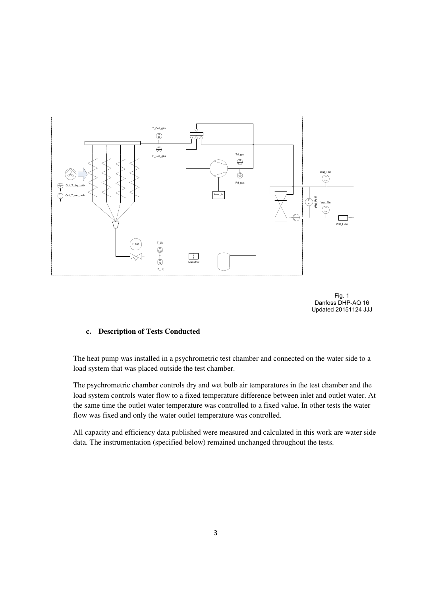

Fig. 1 Danfoss DHP-AQ 16 Updated 20151124 JJJ

### **c. Description of Tests Conducted**

The heat pump was installed in a psychrometric test chamber and connected on the water side to a load system that was placed outside the test chamber.

The psychrometric chamber controls dry and wet bulb air temperatures in the test chamber and the load system controls water flow to a fixed temperature difference between inlet and outlet water. At the same time the outlet water temperature was controlled to a fixed value. In other tests the water flow was fixed and only the water outlet temperature was controlled.

All capacity and efficiency data published were measured and calculated in this work are water side data. The instrumentation (specified below) remained unchanged throughout the tests.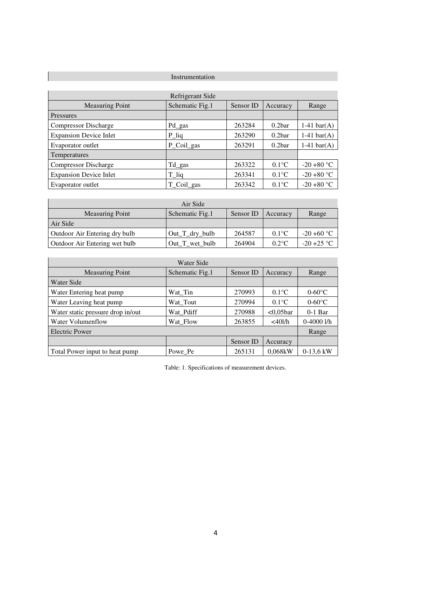### Instrumentation

 $\overline{\phantom{a}}$ 

| Refrigerant Side              |                 |           |                    |                  |  |  |  |  |  |  |
|-------------------------------|-----------------|-----------|--------------------|------------------|--|--|--|--|--|--|
| <b>Measuring Point</b>        | Schematic Fig.1 | Sensor ID | Accuracy           | Range            |  |  |  |  |  |  |
| Pressures                     |                 |           |                    |                  |  |  |  |  |  |  |
| <b>Compressor Discharge</b>   | Pd gas          | 263284    | 0.2 <sub>bar</sub> | $1-41$ bar $(A)$ |  |  |  |  |  |  |
| <b>Expansion Device Inlet</b> | P lig           | 263290    | 0.2 <sub>bar</sub> | $1-41$ bar(A)    |  |  |  |  |  |  |
| Evaporator outlet             | P_Coil_gas      | 263291    | 0.2 <sub>bar</sub> | $1-41$ bar(A)    |  |  |  |  |  |  |
| <b>Temperatures</b>           |                 |           |                    |                  |  |  |  |  |  |  |
| <b>Compressor Discharge</b>   | Td_gas          | 263322    | $0.1^{\circ}$ C    | $-20 + 80$ °C    |  |  |  |  |  |  |
| <b>Expansion Device Inlet</b> | $T$ liq         | 263341    | $0.1^{\circ}$ C    | $-20 + 80$ °C    |  |  |  |  |  |  |
| Evaporator outlet             | T Coil gas      | 263342    | $0.1^{\circ}$ C    | $-20 + 80$ °C    |  |  |  |  |  |  |

| Air Side                      |                  |           |                 |               |  |  |  |  |  |
|-------------------------------|------------------|-----------|-----------------|---------------|--|--|--|--|--|
| <b>Measuring Point</b>        | Schematic Fig.1  | Sensor ID | Accuracy        | Range         |  |  |  |  |  |
| Air Side                      |                  |           |                 |               |  |  |  |  |  |
| Outdoor Air Entering dry bulb | $Out_T_dry_bulb$ | 264587    | $0.1^{\circ}$ C | $-20 + 60$ °C |  |  |  |  |  |
| Outdoor Air Entering wet bulb | Out T wet bulb   | 264904    | $0.2$ °C        | $-20 + 25$ °C |  |  |  |  |  |

| Water Side                        |                 |           |                 |                 |  |  |  |  |
|-----------------------------------|-----------------|-----------|-----------------|-----------------|--|--|--|--|
| <b>Measuring Point</b>            | Schematic Fig.1 | Sensor ID | Accuracy        | Range           |  |  |  |  |
| Water Side                        |                 |           |                 |                 |  |  |  |  |
| Water Entering heat pump          | Wat Tin         | 270993    | $0.1^{\circ}$ C | $0-60\degree C$ |  |  |  |  |
| Water Leaving heat pump           | Wat Tout        | 270994    | $0.1^{\circ}$ C | $0-60\degree C$ |  |  |  |  |
| Water static pressure drop in/out | Wat Pdiff       | 270988    | $<0.05$ bar     | $0-1$ Bar       |  |  |  |  |
| Water Volumenflow                 | Wat Flow        | 263855    | $<$ 401/h       | $0-4000$ l/h    |  |  |  |  |
| Electric Power                    |                 |           |                 | Range           |  |  |  |  |
|                                   |                 | Sensor ID | Accuracy        |                 |  |  |  |  |
| Total Power input to heat pump    | Powe Pe         | 265131    | 0.068kW         | $0-13.6$ kW     |  |  |  |  |

Table: 1. Specifications of measurement devices.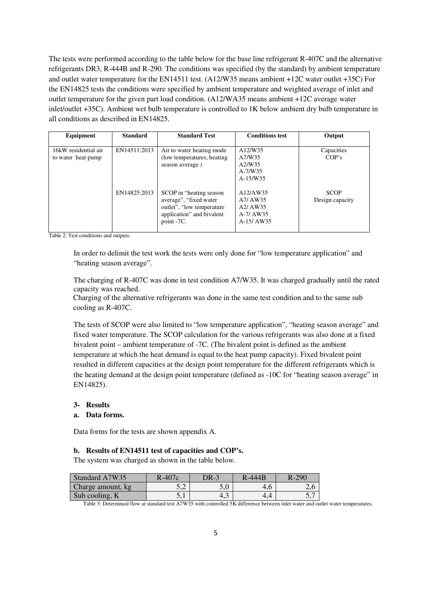The tests were performed according to the table below for the base line refrigerant R-407C and the alternative refrigerants DR3, R-444B and R-290. The conditions was specified (by the standard) by ambient temperature and outlet water temperature for the EN14511 test. (A12/W35 means ambient +12C water outlet +35C) For the EN14825 tests the conditions were specified by ambient temperature and weighted average of inlet and outlet temperature for the given part load condition. (A12/WA35 means ambient +12C average water inlet/outlet +35C). Ambient wet bulb temperature is controlled to 1K below ambient dry bulb temperature in all conditions as described in EN14825.

| Equipment                                  | <b>Standard</b> | <b>Standard Test</b>                                                                                                        | <b>Conditions test</b>                                                              | Output                         |
|--------------------------------------------|-----------------|-----------------------------------------------------------------------------------------------------------------------------|-------------------------------------------------------------------------------------|--------------------------------|
| 16kW residential air<br>to water heat pump | EN14511:2013    | Air to water heating mode<br>(low temperatures, heating)<br>season average)                                                 | A12/W35<br>A7/W35<br>A2/W35<br>$A-7/W35$<br>$A-15/W35$                              | Capacities<br>COP's            |
|                                            | EN14825:2013    | SCOP in "heating season"<br>average", "fixed water<br>outlet", "low temperature"<br>application" and bivalent<br>point -7C. | A12/AW35<br>A7/ AW35<br>A <sub>2</sub> / AW <sub>35</sub><br>A-7/ AW35<br>A-15/AW35 | <b>SCOP</b><br>Design capacity |

Table 2: Test conditions and outputs.

In order to delimit the test work the tests were only done for "low temperature application" and "heating season average".

The charging of R-407C was done in test condition A7/W35. It was charged gradually until the rated capacity was reached.

Charging of the alternative refrigerants was done in the same test condition and to the same sub cooling as R-407C.

The tests of SCOP were also limited to "low temperature application", "heating season average" and fixed water temperature. The SCOP calculation for the various refrigerants was also done at a fixed bivalent point – ambient temperature of -7C. (The bivalent point is defined as the ambient temperature at which the heat demand is equal to the heat pump capacity). Fixed bivalent point resulted in different capacities at the design point temperature for the different refrigerants which is the heating demand at the design point temperature (defined as -10C for "heating season average" in EN14825).

#### **3- Results**

#### **a. Data forms.**

Data forms for the tests are shown appendix A.

#### **b. Results of EN14511 test of capacities and COP's.**

The system was charged as shown in the table below.

| Standard A7W35    | $R-407c$ | DR-3 | R-444B | $R-290$ |
|-------------------|----------|------|--------|---------|
| Charge amount, kg | ے ک      |      | 4.6    | ∠.u     |
| Sub cooling, K    | J.I      | 4.5  | 4.4    | J,      |

Table 3: Determined flow at standard test A7W35 with controlled 5K difference between inlet water and outlet water temperatures.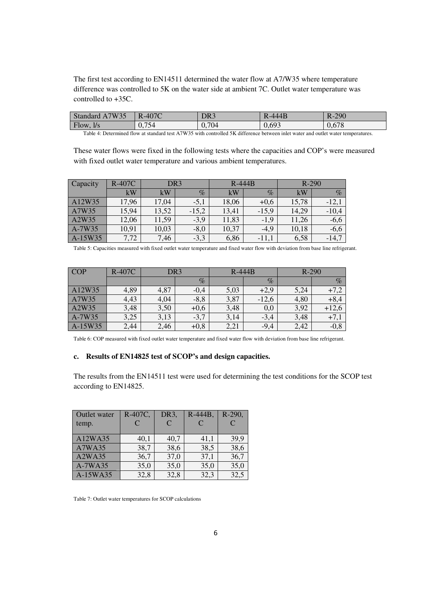The first test according to EN14511 determined the water flow at A7/W35 where temperature difference was controlled to 5K on the water side at ambient 7C. Outlet water temperature was controlled to +35C.

| 7W35<br><b>Standard</b><br>$\mathbf{A}$ | R-407C | DR3   | $R-444B$ | $R-290$ |
|-----------------------------------------|--------|-------|----------|---------|
| Flow, $1/s$                             | 0,754  | 0,704 | 0,693    | 0,678   |

Table 4: Determined flow at standard test A7W35 with controlled 5K difference between inlet water and outlet water temperatures.

These water flows were fixed in the following tests where the capacities and COP's were measured with fixed outlet water temperature and various ambient temperatures.

| Capacity | <b>R-407C</b> | DR <sub>3</sub> |         | $R-444B$ |         | R-290 |         |
|----------|---------------|-----------------|---------|----------|---------|-------|---------|
|          | kW            | kW              | $\%$    | kW       | $\%$    | kW    | $\%$    |
| A12W35   | 17,96         | 17,04           | $-5,1$  | 18,06    | $+0,6$  | 15,78 | $-12,1$ |
| A7W35    | 15,94         | 13,52           | $-15,2$ | 13,41    | $-15.9$ | 14,29 | $-10,4$ |
| A2W35    | 12,06         | 11,59           | $-3,9$  | 11,83    | $-1,9$  | 11,26 | $-6,6$  |
| A-7W35   | 10,91         | 10,03           | $-8,0$  | 10,37    | $-4,9$  | 10,18 | $-6,6$  |
| A-15W35  | 7,72          | 7,46            | $-3,3$  | 6,86     | $-11,1$ | 6,58  | $-14,7$ |

Table 5: Capacities measured with fixed outlet water temperature and fixed water flow with deviation from base line refrigerant.

| <b>COP</b> | $R-407C$ | DR <sub>3</sub> |         |      | $R-444B$ |      | $R-290$ |  |
|------------|----------|-----------------|---------|------|----------|------|---------|--|
|            |          |                 | $\%$    |      | $\%$     |      | $\%$    |  |
| A12W35     | 4,89     | 4,87            | $-0,4$  | 5,03 | $+2,9$   | 5,24 | $+7,2$  |  |
| A7W35      | 4,43     | 4,04            | $-8, 8$ | 3,87 | $-12,6$  | 4,80 | $+8,4$  |  |
| A2W35      | 3,48     | 3,50            | $+0,6$  | 3,48 | 0,0      | 3,92 | $+12,6$ |  |
| A-7W35     | 3,25     | 3,13            | $-3,7$  | 3,14 | $-3,4$   | 3,48 | $+7,1$  |  |
| A-15W35    | 2,44     | 2,46            | $+0,8$  | 2,21 | $-9,4$   | 2,42 | $-0,8$  |  |

Table 6: COP measured with fixed outlet water temperature and fixed water flow with deviation from base line refrigerant.

#### **c. Results of EN14825 test of SCOP's and design capacities.**

The results from the EN14511 test were used for determining the test conditions for the SCOP test according to EN14825.

| Outlet water  | R-407C, | DR <sub>3</sub> | R-444B. | R-290,        |
|---------------|---------|-----------------|---------|---------------|
| temp.         | C       | $\mathcal{C}$   | C       | $\mathcal{C}$ |
|               |         |                 |         |               |
| A12WA35       | 40,1    | 40,7            | 41,1    | 39,9          |
| <b>A7WA35</b> | 38,7    | 38,6            | 38,5    | 38,6          |
| A2WA35        | 36,7    | 37,0            | 37,1    | 36,7          |
| A-7WA35       | 35,0    | 35,0            | 35,0    | 35,0          |
| A-15WA35      | 32,8    | 32,8            | 32,3    | 32,5          |

Table 7: Outlet water temperatures for SCOP calculations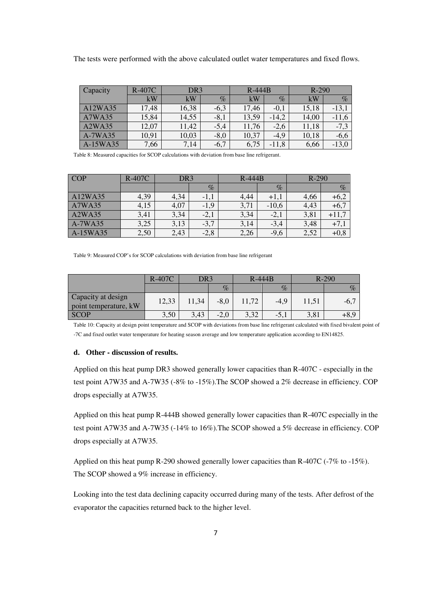The tests were performed with the above calculated outlet water temperatures and fixed flows.

| Capacity                        | <b>R-407C</b> | DR <sub>3</sub> |        | $R-444B$ |         | $R-290$ |         |
|---------------------------------|---------------|-----------------|--------|----------|---------|---------|---------|
|                                 | kW            | kW              | $\%$   | kW       | $\%$    | kW      | $\%$    |
| A12WA35                         | 17,48         | 16,38           | $-6,3$ | 17,46    | $-0.1$  | 15,18   | $-13,1$ |
| A7WA35                          | 15,84         | 14,55           | $-8,1$ | 13,59    | $-14,2$ | 14,00   | $-11,6$ |
| A <sub>2</sub> WA <sub>35</sub> | 12,07         | 11,42           | $-5,4$ | 11,76    | $-2,6$  | 11,18   | $-7,3$  |
| A-7WA35                         | 10,91         | 10,03           | $-8,0$ | 10,37    | $-4.9$  | 10,18   | $-6,6$  |
| A-15WA35                        | 7,66          | 7,14            | $-6,7$ | 6,75     | $-11,8$ | 6,66    | $-13,0$ |

Table 8: Measured capacities for SCOP calculations with deviation from base line refrigerant.

| <b>COP</b> | R-407C | DR3  |        | $R-444B$ |         | $R-290$ |        |
|------------|--------|------|--------|----------|---------|---------|--------|
|            |        |      | $\%$   |          | $\%$    |         | $\%$   |
| A12WA35    | 4,39   | 4,34 | $-1,1$ | 4,44     | $+1,1$  | 4,66    | +6,2   |
| A7WA35     | 4,15   | 4,07 | $-1,9$ | 3,71     | $-10,6$ | 4,43    | $+6,7$ |
| A2WA35     | 3,41   | 3,34 | $-2,1$ | 3,34     | $-2,1$  | 3,81    | +11,   |
| A-7WA35    | 3,25   | 3,13 | $-3,7$ | 3,14     | $-3,4$  | 3,48    | $+7,1$ |
| A-15WA35   | 2,50   | 2,43 | $-2,8$ | 2,26     | $-9,6$  | 2,52    | $+0,8$ |

Table 9: Measured COP's for SCOP calculations with deviation from base line refrigerant

|                                             | DR3<br>$R-407C$ |       | $R-444B$ |       | $R-290$ |       |         |
|---------------------------------------------|-----------------|-------|----------|-------|---------|-------|---------|
|                                             |                 |       | $\%$     |       | $\%$    |       | $\%$    |
| Capacity at design<br>point temperature, kW | 12,33           | 11,34 | $-8,0$   | 11,72 | $-4.9$  | 11,51 | $-6,$ . |
| <b>SCOP</b>                                 | 3,50            | 3,43  | $-2,0$   | 3,32  | $-5,1$  | 3,81  | $+8,0$  |

Table 10: Capacity at design point temperature and SCOP with deviations from base line refrigerant calculated with fixed bivalent point of -7C and fixed outlet water temperature for heating season average and low temperature application according to EN14825.

#### **d. Other - discussion of results.**

Applied on this heat pump DR3 showed generally lower capacities than R-407C - especially in the test point A7W35 and A-7W35 (-8% to -15%).The SCOP showed a 2% decrease in efficiency. COP drops especially at A7W35.

Applied on this heat pump R-444B showed generally lower capacities than R-407C especially in the test point A7W35 and A-7W35 (-14% to 16%).The SCOP showed a 5% decrease in efficiency. COP drops especially at A7W35.

Applied on this heat pump R-290 showed generally lower capacities than R-407C (-7% to -15%). The SCOP showed a 9% increase in efficiency.

Looking into the test data declining capacity occurred during many of the tests. After defrost of the evaporator the capacities returned back to the higher level.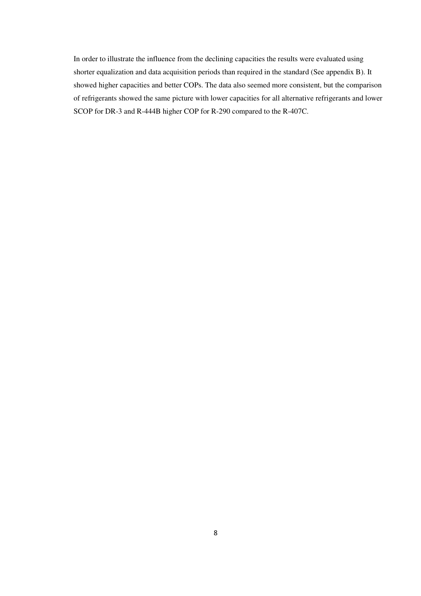In order to illustrate the influence from the declining capacities the results were evaluated using shorter equalization and data acquisition periods than required in the standard (See appendix B). It showed higher capacities and better COPs. The data also seemed more consistent, but the comparison of refrigerants showed the same picture with lower capacities for all alternative refrigerants and lower SCOP for DR-3 and R-444B higher COP for R-290 compared to the R-407C.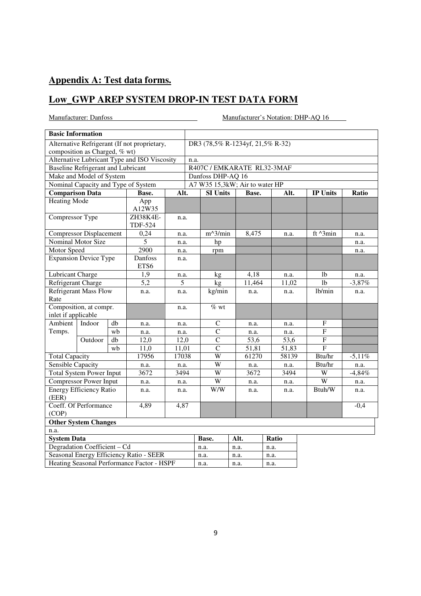## **Appendix A: Test data forms.**

## **Low\_GWP AREP SYSTEM DROP-IN TEST DATA FORM**

|                                            | <b>Basic Information</b>                    |      |                                              |       |                                  |                                |      |        |        |                 |      |          |  |  |
|--------------------------------------------|---------------------------------------------|------|----------------------------------------------|-------|----------------------------------|--------------------------------|------|--------|--------|-----------------|------|----------|--|--|
|                                            |                                             |      | Alternative Refrigerant (If not proprietary, |       | DR3 (78,5% R-1234yf, 21,5% R-32) |                                |      |        |        |                 |      |          |  |  |
|                                            | composition as Charged, % wt)               |      |                                              |       |                                  |                                |      |        |        |                 |      |          |  |  |
|                                            |                                             |      | Alternative Lubricant Type and ISO Viscosity |       |                                  | n.a.                           |      |        |        |                 |      |          |  |  |
|                                            | <b>Baseline Refrigerant and Lubricant</b>   |      |                                              |       | R407C / EMKARATE RL32-3MAF       |                                |      |        |        |                 |      |          |  |  |
|                                            | Make and Model of System                    |      |                                              |       | Danfoss DHP-AQ 16                |                                |      |        |        |                 |      |          |  |  |
|                                            |                                             |      | Nominal Capacity and Type of System          |       |                                  | A7 W35 15,3kW; Air to water HP |      |        |        |                 |      |          |  |  |
| <b>Comparison Data</b>                     |                                             |      | Base.                                        | Alt.  |                                  | <b>SI Units</b>                |      | Base.  | Alt.   | <b>IP Units</b> |      | Ratio    |  |  |
| <b>Heating Mode</b>                        |                                             |      | App<br>A12W35                                |       |                                  |                                |      |        |        |                 |      |          |  |  |
| Compressor Type                            |                                             |      | ZH38K4E-<br><b>TDF-524</b>                   | n.a.  |                                  |                                |      |        |        |                 |      |          |  |  |
|                                            | <b>Compressor Displacement</b>              |      | 0,24                                         | n.a.  |                                  | $m^3/min$                      |      | 8,475  | n.a.   | ft ^3min        |      | n.a.     |  |  |
|                                            | Nominal Motor Size                          |      | 5                                            | n.a.  |                                  | hp                             |      |        |        |                 |      | n.a.     |  |  |
| Motor Speed                                |                                             |      | 2900                                         | n.a.  |                                  | rpm                            |      |        |        |                 |      | n.a.     |  |  |
|                                            | <b>Expansion Device Type</b>                |      | Danfoss<br>ETS6                              | n.a.  |                                  |                                |      |        |        |                 |      |          |  |  |
| Lubricant Charge                           |                                             |      | 1,9                                          | n.a.  |                                  | kg                             |      | 4,18   | n.a.   | 1 <sub>b</sub>  |      | n.a.     |  |  |
|                                            | $\overline{5,2}$<br>5<br>Refrigerant Charge |      |                                              |       |                                  | kg                             |      | 11,464 | 11,02  | $\overline{1}b$ |      | $-3,87%$ |  |  |
| <b>Refrigerant Mass Flow</b><br>Rate       |                                             | n.a. | n.a.                                         |       | kg/min                           |                                | n.a. | n.a.   | 1b/min |                 | n.a. |          |  |  |
| inlet if applicable                        | Composition, at compr.                      |      |                                              | n.a.  |                                  | $\%$ wt                        |      |        |        |                 |      |          |  |  |
| Ambient                                    | Indoor                                      | db   | n.a.                                         | n.a.  |                                  | $\mathbf C$                    |      | n.a.   | n.a.   | $\mathbf{F}$    |      |          |  |  |
| Temps.                                     |                                             | wb   | n.a.                                         | n.a.  |                                  | $\overline{C}$                 |      | n.a.   | n.a.   | $\overline{F}$  |      |          |  |  |
|                                            | Outdoor                                     | db   | 12,0                                         | 12,0  |                                  | $\mathcal{C}$                  |      | 53,6   | 53,6   | ${\bf F}$       |      |          |  |  |
|                                            |                                             | wb   | 11,0                                         | 11,01 |                                  | $\overline{C}$                 |      | 51,81  | 51,83  | $\overline{F}$  |      |          |  |  |
| <b>Total Capacity</b>                      |                                             |      | 17956                                        | 17038 |                                  | W                              |      | 61270  | 58139  | Btu/hr          |      | $-5,11%$ |  |  |
| <b>Sensible Capacity</b>                   |                                             |      | n.a.                                         | n.a.  |                                  | W                              |      | n.a.   | n.a.   | Btu/hr          |      | n.a.     |  |  |
|                                            | <b>Total System Power Input</b>             |      | 3672                                         | 3494  |                                  | $\overline{W}$                 |      | 3672   | 3494   | W               |      | $-4,84%$ |  |  |
|                                            | <b>Compressor Power Input</b>               |      | n.a.                                         | n.a.  |                                  | W                              |      | n.a.   | n.a.   | W               |      | n.a.     |  |  |
| (EER)                                      | <b>Energy Efficiency Ratio</b>              |      | n.a.                                         | n.a.  |                                  | W/W                            |      | n.a.   | n.a.   | Btuh/W          |      | n.a.     |  |  |
| Coeff. Of Performance<br>4,89<br>(COP)     |                                             | 4,87 |                                              |       |                                  |                                |      |        |        | $-0,4$          |      |          |  |  |
|                                            | <b>Other System Changes</b>                 |      |                                              |       |                                  |                                |      |        |        |                 |      |          |  |  |
| n.a.                                       |                                             |      |                                              |       |                                  |                                |      |        |        |                 |      |          |  |  |
| <b>System Data</b>                         |                                             |      |                                              |       |                                  | Base.                          | Alt. |        | Ratio  |                 |      |          |  |  |
| Degradation Coefficient - Cd               |                                             |      |                                              |       |                                  | n.a.                           | n.a. |        | n.a.   |                 |      |          |  |  |
|                                            | Seasonal Energy Efficiency Ratio - SEER     |      |                                              |       |                                  |                                | n.a. |        | n.a.   |                 |      |          |  |  |
| Heating Seasonal Performance Factor - HSPF |                                             |      |                                              |       |                                  | n.a.                           | n.a. |        | n.a.   |                 |      |          |  |  |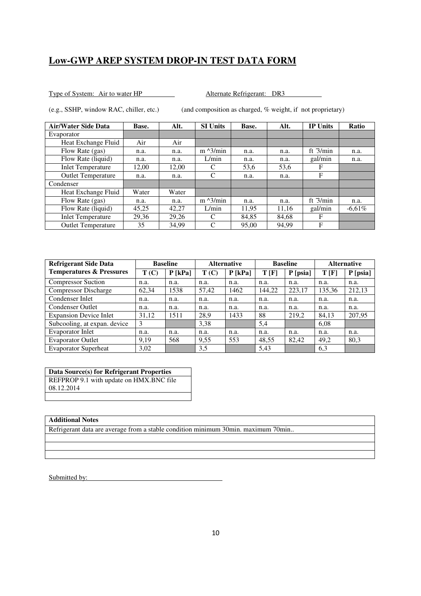Type of System: Air to water HP Alternate Refrigerant: DR3

| <b>Air/Water Side Data</b> | Base. | Alt.  | <b>SI Units</b>   | Base. | Alt.  | <b>IP Units</b> | Ratio     |
|----------------------------|-------|-------|-------------------|-------|-------|-----------------|-----------|
| Evaporator                 |       |       |                   |       |       |                 |           |
| Heat Exchange Fluid        | Air   | Air   |                   |       |       |                 |           |
| Flow Rate (gas)            | n.a.  | n.a.  | $m \lambda$ 3/min | n.a.  | n.a.  | ft $3/min$      | n.a.      |
| Flow Rate (liquid)         | n.a.  | n.a.  | L/min             | n.a.  | n.a.  | gal/min         | n.a.      |
| <b>Inlet Temperature</b>   | 12,00 | 12,00 | C                 | 53,6  | 53,6  | F               |           |
| <b>Outlet Temperature</b>  | n.a.  | n.a.  | C                 | n.a.  | n.a.  | F               |           |
| Condenser                  |       |       |                   |       |       |                 |           |
| Heat Exchange Fluid        | Water | Water |                   |       |       |                 |           |
| Flow Rate (gas)            | n.a.  | n.a.  | $m \lambda$ 3/min | n.a.  | n.a.  | ft $3/min$      | n.a.      |
| Flow Rate (liquid)         | 45,25 | 42,27 | L/min             | 11.95 | 11.16 | gal/min         | $-6,61\%$ |
| <b>Inlet Temperature</b>   | 29,36 | 29,26 | C                 | 84.85 | 84.68 | F               |           |
| <b>Outlet Temperature</b>  | 35    | 34.99 | C                 | 95,00 | 94.99 | F               |           |

(e.g., SSHP, window RAC, chiller, etc.) (and composition as charged, % weight, if not proprietary)

| <b>Refrigerant Side Data</b>        |       | <b>Baseline</b> |       | <b>Alternative</b> |        | <b>Baseline</b> | <b>Alternative</b> |          |
|-------------------------------------|-------|-----------------|-------|--------------------|--------|-----------------|--------------------|----------|
| <b>Temperatures &amp; Pressures</b> | T(C)  | $P$ [kPa]       | T(C)  | $P$ [kPa]          | T[F]   | $P$ [psia]      | T[F]               | P [psia] |
| <b>Compressor Suction</b>           | n.a.  | n.a.            | n.a.  | n.a.               | n.a.   | n.a.            | n.a.               | n.a.     |
| <b>Compressor Discharge</b>         | 62,34 | 1538            | 57,42 | 1462               | 144,22 | 223,17          | 135,36             | 212,13   |
| Condenser Inlet                     | n.a.  | n.a.            | n.a.  | n.a.               | n.a.   | n.a.            | n.a.               | n.a.     |
| <b>Condenser Outlet</b>             | n.a.  | n.a.            | n.a.  | n.a.               | n.a.   | n.a.            | n.a.               | n.a.     |
| <b>Expansion Device Inlet</b>       | 31,12 | 1511            | 28,9  | 1433               | 88     | 219,2           | 84,13              | 207,95   |
| Subcooling, at expan. device        | 3     |                 | 3,38  |                    | 5,4    |                 | 6,08               |          |
| <b>Evaporator Inlet</b>             | n.a.  | n.a.            | n.a.  | n.a.               | n.a.   | n.a.            | n.a.               | n.a.     |
| <b>Evaporator Outlet</b>            | 9.19  | 568             | 9.55  | 553                | 48,55  | 82,42           | 49,2               | 80,3     |
| <b>Evaporator Superheat</b>         | 3,02  |                 | 3.5   |                    | 5,43   |                 | 6,3                |          |

| Data Source(s) for Refrigerant Properties |  |
|-------------------------------------------|--|
| REFPROP 9.1 with update on HMX.BNC file   |  |
| 08.12.2014                                |  |

### **Additional Notes**

Refrigerant data are average from a stable condition minimum 30min. maximum 70min..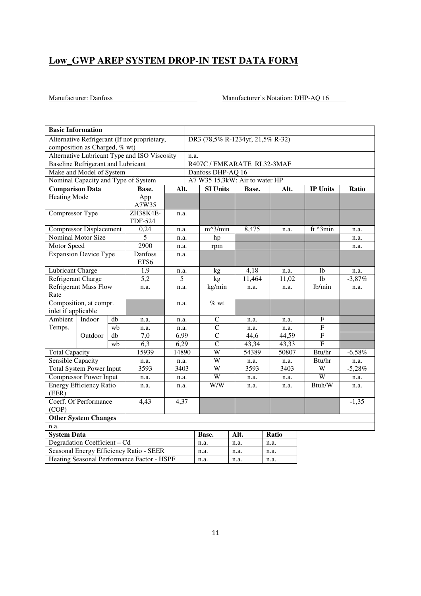|                                        | <b>Basic Information</b>                  |                 |                                              |       |                   |                                    |        |       |                |                 |           |  |  |
|----------------------------------------|-------------------------------------------|-----------------|----------------------------------------------|-------|-------------------|------------------------------------|--------|-------|----------------|-----------------|-----------|--|--|
|                                        |                                           |                 | Alternative Refrigerant (If not proprietary, |       |                   | DR3 (78,5% R-1234yf, 21,5% R-32)   |        |       |                |                 |           |  |  |
|                                        | composition as Charged, % wt)             |                 |                                              |       |                   |                                    |        |       |                |                 |           |  |  |
|                                        |                                           |                 | Alternative Lubricant Type and ISO Viscosity |       |                   | n.a.<br>R407C / EMKARATE RL32-3MAF |        |       |                |                 |           |  |  |
|                                        | <b>Baseline Refrigerant and Lubricant</b> |                 |                                              |       |                   |                                    |        |       |                |                 |           |  |  |
|                                        | Make and Model of System                  |                 |                                              |       | Danfoss DHP-AQ 16 |                                    |        |       |                |                 |           |  |  |
|                                        |                                           |                 | Nominal Capacity and Type of System          |       |                   | A7 W35 15,3kW; Air to water HP     |        |       |                |                 |           |  |  |
| <b>Comparison Data</b>                 |                                           |                 | Base.                                        | Alt.  |                   | <b>SI Units</b>                    |        | Base. | Alt.           | <b>IP Units</b> | Ratio     |  |  |
| <b>Heating Mode</b>                    |                                           |                 | App<br>A7W35                                 |       |                   |                                    |        |       |                |                 |           |  |  |
| Compressor Type                        |                                           |                 | ZH38K4E-                                     | n.a.  |                   |                                    |        |       |                |                 |           |  |  |
|                                        |                                           |                 | <b>TDF-524</b>                               |       |                   |                                    |        |       |                |                 |           |  |  |
|                                        | <b>Compressor Displacement</b>            |                 | 0,24                                         | n.a.  |                   | $m^3/min$                          |        | 8,475 | n.a.           | ft ^3min        | n.a.      |  |  |
|                                        | Nominal Motor Size                        |                 | 5                                            | n.a.  |                   | hp                                 |        |       |                |                 | n.a.      |  |  |
| <b>Motor Speed</b>                     |                                           |                 | 2900                                         | n.a.  |                   | rpm                                |        |       |                |                 | n.a.      |  |  |
|                                        | <b>Expansion Device Type</b>              |                 | Danfoss<br>ETS6                              | n.a.  |                   |                                    |        |       |                |                 |           |  |  |
| Lubricant Charge                       |                                           |                 | 1,9                                          | n.a.  |                   | kg                                 |        | 4,18  | n.a.           | 1b              | n.a.      |  |  |
| Refrigerant Charge                     |                                           | 5,2             | 5                                            |       | kg                |                                    | 11,464 | 11,02 | 1 <sub>b</sub> | $-3,87%$        |           |  |  |
| <b>Refrigerant Mass Flow</b><br>Rate   |                                           | n.a.            | n.a.                                         |       | kg/min            |                                    | n.a.   | n.a.  | lb/min         | n.a.            |           |  |  |
|                                        | Composition, at compr.                    |                 |                                              | n.a.  |                   | $%$ wt                             |        |       |                |                 |           |  |  |
| inlet if applicable                    |                                           |                 |                                              |       |                   |                                    |        |       |                |                 |           |  |  |
| Ambient                                | Indoor                                    | db              | n.a.                                         | n.a.  |                   | $\mathbf C$                        |        | n.a.  | n.a.           | ${\bf F}$       |           |  |  |
| Temps.                                 |                                           | wb              | n.a.                                         | n.a.  |                   | $\overline{C}$                     |        | n.a.  | n.a.           | ${\bf F}$       |           |  |  |
|                                        | Outdoor                                   | $\overline{db}$ | $7,\overline{0}$                             | 6,99  |                   | $\overline{C}$                     |        | 44,6  | 44,59          | $\overline{F}$  |           |  |  |
|                                        |                                           | wb              | 6,3                                          | 6,29  |                   | $\overline{C}$                     |        | 43,34 | 43,33          | F               |           |  |  |
| <b>Total Capacity</b>                  |                                           |                 | 15939                                        | 14890 |                   | $\overline{\mathsf{W}}$            |        | 54389 | 50807          | Btu/hr          | $-6,58\%$ |  |  |
| <b>Sensible Capacity</b>               |                                           |                 | n.a.                                         | n.a.  |                   | $\overline{W}$                     |        | n.a.  | n.a.           | Btu/hr          | n.a.      |  |  |
|                                        | <b>Total System Power Input</b>           |                 | 3593                                         | 3403  |                   | $\overline{\mathbf{W}}$            |        | 3593  | 3403           | W               | $-5,28%$  |  |  |
|                                        | <b>Compressor Power Input</b>             |                 | n.a.                                         | n.a.  |                   | $\overline{W}$                     |        | n.a.  | n.a.           | $\overline{W}$  | n.a.      |  |  |
| (EER)                                  | <b>Energy Efficiency Ratio</b>            |                 | n.a.                                         | n.a.  |                   | W/W                                |        | n.a.  | n.a.           | Btuh/W          | n.a.      |  |  |
| Coeff. Of Performance<br>4,43<br>(COP) |                                           |                 | 4,37                                         |       |                   |                                    |        |       |                | $-1,35$         |           |  |  |
| <b>Other System Changes</b>            |                                           |                 |                                              |       |                   |                                    |        |       |                |                 |           |  |  |
| n.a.                                   |                                           |                 |                                              |       |                   |                                    |        |       |                |                 |           |  |  |
| <b>System Data</b>                     |                                           |                 |                                              |       |                   | Base.                              | Alt.   |       | Ratio          |                 |           |  |  |
|                                        | Degradation Coefficient - Cd              |                 |                                              |       |                   | n.a.                               | n.a.   |       | n.a.           |                 |           |  |  |
|                                        |                                           |                 | Seasonal Energy Efficiency Ratio - SEER      |       |                   | n.a.                               | n.a.   |       | n.a.           |                 |           |  |  |
|                                        |                                           |                 | Heating Seasonal Performance Factor - HSPF   |       |                   | n.a.                               | n.a.   |       | n.a.           |                 |           |  |  |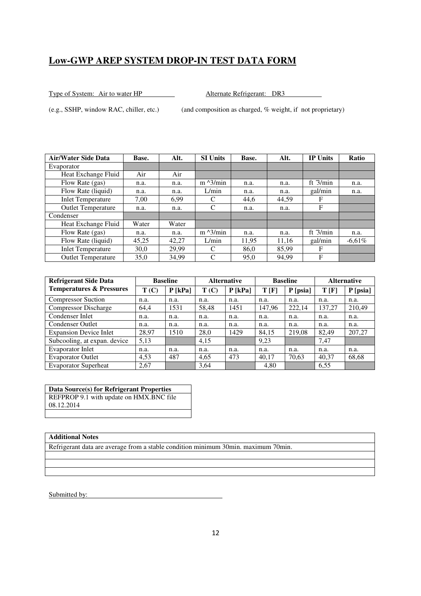Type of System: Air to water HP Alternate Refrigerant: DR3

(e.g., SSHP, window RAC, chiller, etc.) (and composition as charged, % weight, if not proprietary)

| Air/Water Side Data       | Base. | Alt.  | <b>SI Units</b>   | Base. | Alt.  | <b>IP Units</b> | <b>Ratio</b> |
|---------------------------|-------|-------|-------------------|-------|-------|-----------------|--------------|
| Evaporator                |       |       |                   |       |       |                 |              |
| Heat Exchange Fluid       | Air   | Air   |                   |       |       |                 |              |
| Flow Rate (gas)           | n.a.  | n.a.  | $m \lambda$ 3/min | n.a.  | n.a.  | ft $3/min$      | n.a.         |
| Flow Rate (liquid)        | n.a.  | n.a.  | L/min             | n.a.  | n.a.  | gal/min         | n.a.         |
| <b>Inlet Temperature</b>  | 7.00  | 6.99  | C                 | 44,6  | 44.59 | F               |              |
| <b>Outlet Temperature</b> | n.a.  | n.a.  | C                 | n.a.  | n.a.  | F               |              |
| Condenser                 |       |       |                   |       |       |                 |              |
| Heat Exchange Fluid       | Water | Water |                   |       |       |                 |              |
| Flow Rate (gas)           | n.a.  | n.a.  | $m \lambda$ 3/min | n.a.  | n.a.  | ft $3/min$      | n.a.         |
| Flow Rate (liquid)        | 45,25 | 42.27 | L/min             | 11,95 | 11.16 | gal/min         | $-6,61\%$    |
| <b>Inlet Temperature</b>  | 30.0  | 29.99 | C                 | 86.0  | 85.99 | F               |              |
| <b>Outlet Temperature</b> | 35,0  | 34,99 | C                 | 95,0  | 94,99 | F               |              |

| <b>Refrigerant Side Data</b>        |       | <b>Baseline</b> |       | <b>Alternative</b> |        | <b>Baseline</b> | <b>Alternative</b> |          |
|-------------------------------------|-------|-----------------|-------|--------------------|--------|-----------------|--------------------|----------|
| <b>Temperatures &amp; Pressures</b> | T(C)  | $P$ [kPa]       | T(C)  | $P$ [kPa]          | T[F]   | $P$ [psia]      | T[F]               | P [psia] |
| <b>Compressor Suction</b>           | n.a.  | n.a.            | n.a.  | n.a.               | n.a.   | n.a.            | n.a.               | n.a.     |
| <b>Compressor Discharge</b>         | 64,4  | 1531            | 58,48 | 1451               | 147,96 | 222,14          | 137,27             | 210,49   |
| Condenser Inlet                     | n.a.  | n.a.            | n.a.  | n.a.               | n.a.   | n.a.            | n.a.               | n.a.     |
| <b>Condenser Outlet</b>             | n.a.  | n.a.            | n.a.  | n.a.               | n.a.   | n.a.            | n.a.               | n.a.     |
| <b>Expansion Device Inlet</b>       | 28,97 | 1510            | 28,0  | 1429               | 84,15  | 219,08          | 82,49              | 207,27   |
| Subcooling, at expan. device        | 5,13  |                 | 4,15  |                    | 9,23   |                 | 7,47               |          |
| Evaporator Inlet                    | n.a.  | n.a.            | n.a.  | n.a.               | n.a.   | n.a.            | n.a.               | n.a.     |
| <b>Evaporator Outlet</b>            | 4.53  | 487             | 4,65  | 473                | 40.17  | 70,63           | 40,37              | 68,68    |
| <b>Evaporator Superheat</b>         | 2,67  |                 | 3,64  |                    | 4,80   |                 | 6,55               |          |

**Data Source(s) for Refrigerant Properties**  REFPROP 9.1 with update on HMX.BNC file 08.12.2014

### **Additional Notes**

Refrigerant data are average from a stable condition minimum 30min. maximum 70min.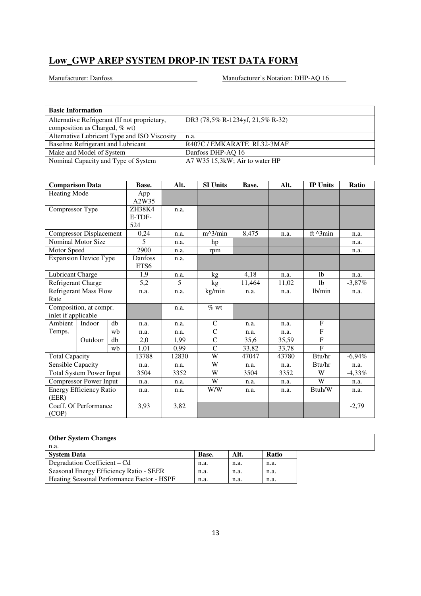| <b>Basic Information</b>                     |                                  |
|----------------------------------------------|----------------------------------|
| Alternative Refrigerant (If not proprietary, | DR3 (78,5% R-1234yf, 21,5% R-32) |
| composition as Charged, % wt)                |                                  |
| Alternative Lubricant Type and ISO Viscosity | n.a.                             |
| Baseline Refrigerant and Lubricant           | R407C / EMKARATE RL32-3MAF       |
| Make and Model of System                     | Danfoss DHP-AQ 16                |
| Nominal Capacity and Type of System          | A7 W35 15,3kW; Air to water HP   |

| <b>Comparison Data</b>        |                                 |      | Base.                   | Alt.  | <b>SI Units</b>    | Base.  | Alt.  | <b>IP Units</b>    | Ratio     |
|-------------------------------|---------------------------------|------|-------------------------|-------|--------------------|--------|-------|--------------------|-----------|
| <b>Heating Mode</b>           |                                 |      | App<br>A2W35            |       |                    |        |       |                    |           |
| Compressor Type               |                                 |      | ZH38K4<br>E-TDF-<br>524 | n.a.  |                    |        |       |                    |           |
|                               | <b>Compressor Displacement</b>  |      | 0,24                    | n.a.  | $m^3/min$          | 8,475  | n.a.  | ft $^{\wedge}3min$ | n.a.      |
|                               | Nominal Motor Size              |      | 5                       | n.a.  | hp                 |        |       |                    | n.a.      |
| Motor Speed                   |                                 |      | 2900                    | n.a.  | rpm                |        |       |                    | n.a.      |
|                               | <b>Expansion Device Type</b>    |      | Danfoss                 | n.a.  |                    |        |       |                    |           |
|                               |                                 |      | ETS <sub>6</sub>        |       |                    |        |       |                    |           |
| Lubricant Charge              |                                 |      | 1,9                     | n.a.  | kg                 | 4,18   | n.a.  | 1 <sub>b</sub>     | n.a.      |
| Refrigerant Charge            |                                 |      | 5,2                     | 5     | kg                 | 11,464 | 11,02 | 1 <sub>b</sub>     | $-3,87\%$ |
|                               | <b>Refrigerant Mass Flow</b>    |      | n.a.                    | n.a.  | kg/min             | n.a.   | n.a.  | lb/min             | n.a.      |
| Rate                          |                                 |      |                         |       |                    |        |       |                    |           |
|                               | Composition, at compr.          |      |                         | n.a.  | $\overline{\%}$ wt |        |       |                    |           |
| inlet if applicable           |                                 |      |                         |       |                    |        |       |                    |           |
| Ambient                       | Indoor                          | db   | n.a.                    | n.a.  | $\mathcal{C}$      | n.a.   | n.a.  | F                  |           |
| Temps.                        |                                 | wh   | n.a.                    | n.a.  | $\mathsf{C}$       | n.a.   | n.a.  | $\mathbf F$        |           |
|                               | Outdoor                         | db   | 2,0                     | 1,99  | $\mathsf{C}$       | 35,6   | 35,59 | F                  |           |
|                               |                                 | wb   | 1,01                    | 0.99  | $\mathsf{C}$       | 33,82  | 33,78 | $\mathbf{F}$       |           |
| <b>Total Capacity</b>         |                                 |      | 13788                   | 12830 | W                  | 47047  | 43780 | Btu/hr             | $-6.94\%$ |
| Sensible Capacity             |                                 |      | n.a.                    | n.a.  | W                  | n.a.   | n.a.  | Btu/hr             | n.a.      |
|                               | <b>Total System Power Input</b> |      | 3504                    | 3352  | W                  | 3504   | 3352  | W                  | $-4,33\%$ |
| <b>Compressor Power Input</b> |                                 | n.a. | n.a.                    | W     | n.a.               | n.a.   | W     | n.a.               |           |
| (EER)                         | Energy Efficiency Ratio         |      | n.a.                    | n.a.  | W/W                | n.a.   | n.a.  | Btuh/W             | n.a.      |
| (COP)                         | Coeff. Of Performance           |      | 3,93                    | 3,82  |                    |        |       |                    | $-2,79$   |

| <b>Other System Changes</b>                |       |      |       |  |  |  |  |  |
|--------------------------------------------|-------|------|-------|--|--|--|--|--|
| n.a.                                       |       |      |       |  |  |  |  |  |
| <b>System Data</b>                         | Base. | Alt. | Ratio |  |  |  |  |  |
| Degradation Coefficient – Cd               | n.a.  | n.a. | n.a.  |  |  |  |  |  |
| Seasonal Energy Efficiency Ratio - SEER    | n.a.  | n.a. | n.a.  |  |  |  |  |  |
| Heating Seasonal Performance Factor - HSPF | n.a.  | n.a. | n.a.  |  |  |  |  |  |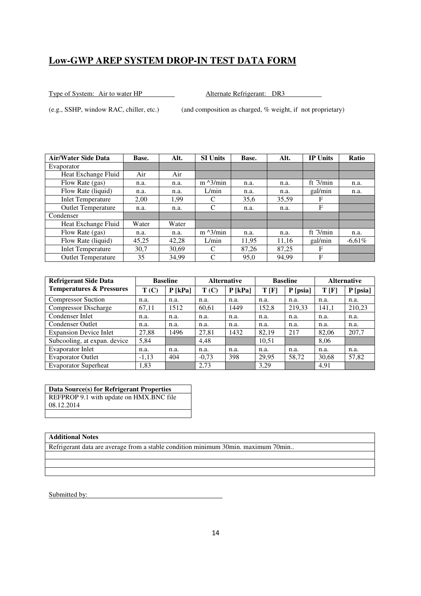Type of System: Air to water HP Alternate Refrigerant: DR3

(e.g., SSHP, window RAC, chiller, etc.) (and composition as charged, % weight, if not proprietary)

| Air/Water Side Data       | Base. | Alt.  | <b>SI Units</b>   | Base. | Alt.  | <b>IP Units</b> | <b>Ratio</b> |
|---------------------------|-------|-------|-------------------|-------|-------|-----------------|--------------|
| Evaporator                |       |       |                   |       |       |                 |              |
| Heat Exchange Fluid       | Air   | Air   |                   |       |       |                 |              |
| Flow Rate (gas)           | n.a.  | n.a.  | $m \lambda$ 3/min | n.a.  | n.a.  | ft $3/min$      | n.a.         |
| Flow Rate (liquid)        | n.a.  | n.a.  | L/min             | n.a.  | n.a.  | gal/min         | n.a.         |
| <b>Inlet Temperature</b>  | 2.00  | 1,99  | C                 | 35,6  | 35,59 | F               |              |
| <b>Outlet Temperature</b> | n.a.  | n.a.  | C                 | n.a.  | n.a.  | F               |              |
| Condenser                 |       |       |                   |       |       |                 |              |
| Heat Exchange Fluid       | Water | Water |                   |       |       |                 |              |
| Flow Rate (gas)           | n.a.  | n.a.  | $m \lambda$ 3/min | n.a.  | n.a.  | ft $3/min$      | n.a.         |
| Flow Rate (liquid)        | 45,25 | 42.28 | L/min             | 11.95 | 11.16 | gal/min         | $-6,61\%$    |
| <b>Inlet Temperature</b>  | 30.7  | 30,69 | C                 | 87.26 | 87.25 | F               |              |
| <b>Outlet Temperature</b> | 35    | 34,99 | C                 | 95,0  | 94,99 | F               |              |

| <b>Refrigerant Side Data</b>        | <b>Baseline</b> |           | <b>Alternative</b> |           | <b>Baseline</b> |            | <b>Alternative</b> |            |
|-------------------------------------|-----------------|-----------|--------------------|-----------|-----------------|------------|--------------------|------------|
| <b>Temperatures &amp; Pressures</b> | T(C)            | $P$ [kPa] | T(C)               | $P$ [kPa] | T[F]            | $P$ [psia] | T[F]               | $P$ [psia] |
| <b>Compressor Suction</b>           | n.a.            | n.a.      | n.a.               | n.a.      | n.a.            | n.a.       | n.a.               | n.a.       |
| <b>Compressor Discharge</b>         | 67,11           | 1512      | 60,61              | 1449      | 152,8           | 219,33     | 141,1              | 210,23     |
| Condenser Inlet                     | n.a.            | n.a.      | n.a.               | n.a.      | n.a.            | n.a.       | n.a.               | n.a.       |
| <b>Condenser Outlet</b>             | n.a.            | n.a.      | n.a.               | n.a.      | n.a.            | n.a.       | n.a.               | n.a.       |
| <b>Expansion Device Inlet</b>       | 27,88           | 1496      | 27,81              | 1432      | 82.19           | 217        | 82,06              | 207,7      |
| Subcooling, at expan. device        | 5,84            |           | 4,48               |           | 10,51           |            | 8,06               |            |
| <b>Evaporator Inlet</b>             | n.a.            | n.a.      | n.a.               | n.a.      | n.a.            | n.a.       | n.a.               | n.a.       |
| <b>Evaporator Outlet</b>            | $-1,13$         | 404       | $-0.73$            | 398       | 29,95           | 58,72      | 30,68              | 57,82      |
| <b>Evaporator Superheat</b>         | 1,83            |           | 2,73               |           | 3,29            |            | 4,91               |            |

**Data Source(s) for Refrigerant Properties**  REFPROP 9.1 with update on HMX.BNC file 08.12.2014

### **Additional Notes**

Refrigerant data are average from a stable condition minimum 30min. maximum 70min..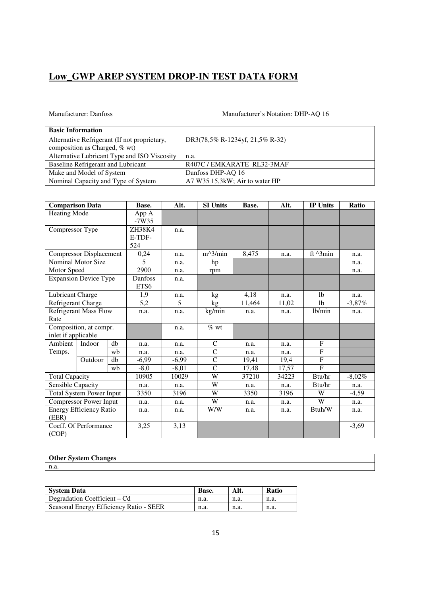| <b>Basic Information</b>                     |                                 |
|----------------------------------------------|---------------------------------|
| Alternative Refrigerant (If not proprietary, | DR3(78,5% R-1234yf, 21,5% R-32) |
| composition as Charged, % wt)                |                                 |
| Alternative Lubricant Type and ISO Viscosity | n.a.                            |
| Baseline Refrigerant and Lubricant           | R407C / EMKARATE RL32-3MAF      |
| Make and Model of System                     | Danfoss DHP-AQ 16               |
| Nominal Capacity and Type of System          | A7 W35 15,3kW; Air to water HP  |

| <b>Comparison Data</b>          |                                | Base. | Alt.             | <b>SI Units</b> | Base.              | Alt.   | <b>IP Units</b>     | Ratio             |           |
|---------------------------------|--------------------------------|-------|------------------|-----------------|--------------------|--------|---------------------|-------------------|-----------|
| Heating Mode                    |                                |       | App A<br>$-7W35$ |                 |                    |        |                     |                   |           |
| Compressor Type                 |                                |       | ZH38K4           | n.a.            |                    |        |                     |                   |           |
|                                 |                                |       | E-TDF-           |                 |                    |        |                     |                   |           |
|                                 |                                |       | 524              |                 |                    |        |                     |                   |           |
|                                 | <b>Compressor Displacement</b> |       | 0,24             | n.a.            | $m^3/min$          | 8,475  | n.a.                | ft $\lambda$ 3min | n.a.      |
|                                 | Nominal Motor Size             |       | 5                | n.a.            | hp                 |        |                     |                   | n.a.      |
| Motor Speed                     |                                |       | 2900             | n.a.            | rpm                |        |                     |                   | n.a.      |
|                                 | <b>Expansion Device Type</b>   |       | Danfoss          | n.a.            |                    |        |                     |                   |           |
|                                 |                                |       | ETS6             |                 |                    |        |                     |                   |           |
| Lubricant Charge                |                                |       | 1,9              | n.a.            | kg                 | 4.18   | n.a.                | <sup>1</sup> b    | n.a.      |
| Refrigerant Charge              |                                |       | 5,2              | 5               | kg                 | 11,464 | 11,02               | 1 <sub>b</sub>    | $-3,87\%$ |
| <b>Refrigerant Mass Flow</b>    |                                | n.a.  | n.a.             | kg/min          | n.a.               | n.a.   | 1 <sub>b</sub> /min | n.a.              |           |
| Rate                            |                                |       |                  |                 |                    |        |                     |                   |           |
|                                 | Composition, at compr.         |       |                  | n.a.            | $\overline{\%}$ wt |        |                     |                   |           |
| inlet if applicable             |                                |       |                  |                 |                    |        |                     |                   |           |
| Ambient                         | Indoor                         | db    | n.a.             | n.a.            | $\mathsf{C}$       | n.a.   | n.a.                | F                 |           |
| Temps.                          |                                | wb    | n.a.             | n.a.            | $\mathsf{C}$       | n.a.   | n.a.                | F                 |           |
|                                 | Outdoor                        | db    | $-6,99$          | $-6,99$         | $\mathbf C$        | 19,41  | 19,4                | F                 |           |
|                                 |                                | wb    | $-8,0$           | $-8,01$         | $\overline{C}$     | 17,48  | 17,57               | $\mathbf{F}$      |           |
| <b>Total Capacity</b>           |                                |       | 10905            | 10029           | W                  | 37210  | 34223               | Btu/hr            | $-8,02\%$ |
|                                 | Sensible Capacity              |       | n.a.             | n.a.            | W                  | n.a.   | n.a.                | Btu/hr            | n.a.      |
| <b>Total System Power Input</b> |                                | 3350  | 3196             | W               | 3350               | 3196   | W                   | $-4,59$           |           |
| <b>Compressor Power Input</b>   |                                | n.a.  | n.a.             | W               | n.a.               | n.a.   | $\overline{W}$      | n.a.              |           |
| <b>Energy Efficiency Ratio</b>  |                                |       | n.a.             | n.a.            | W/W                | n.a.   | n.a.                | Btuh/W            | n.a.      |
| (EER)                           |                                |       |                  |                 |                    |        |                     |                   |           |
|                                 | Coeff. Of Performance          |       | 3,25             | 3,13            |                    |        |                     |                   | $-3,69$   |
| (COP)                           |                                |       |                  |                 |                    |        |                     |                   |           |

| <b>Other System Changes</b> |  |
|-----------------------------|--|
| n.a                         |  |

| <b>System Data</b>                      | Base. |      | <b>Ratio</b> |
|-----------------------------------------|-------|------|--------------|
| Degradation Coefficient – Cd            | n.a.  | n.a. | n.a.         |
| Seasonal Energy Efficiency Ratio - SEER | n.a.  | n.a. | n.a.         |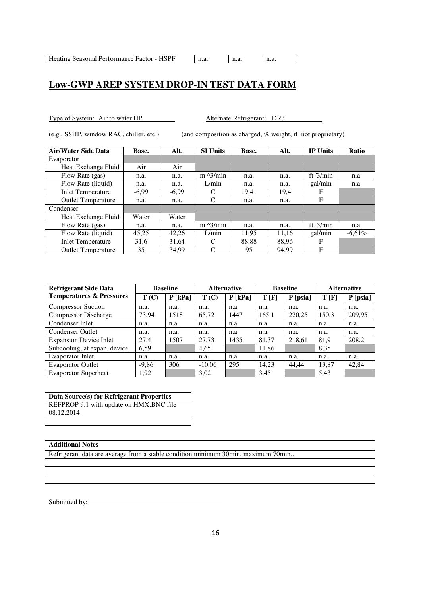Type of System: Air to water HP Alternate Refrigerant: DR3

(e.g., SSHP, window RAC, chiller, etc.) (and composition as charged, % weight, if not proprietary)

| <b>Air/Water Side Data</b> | Base.   | Alt.    | <b>SI Units</b>   | Base. | Alt.  | <b>IP Units</b> | Ratio     |
|----------------------------|---------|---------|-------------------|-------|-------|-----------------|-----------|
| Evaporator                 |         |         |                   |       |       |                 |           |
| Heat Exchange Fluid        | Air     | Air     |                   |       |       |                 |           |
| Flow Rate (gas)            | n.a.    | n.a.    | $m \lambda$ 3/min | n.a.  | n.a.  | ft $3/min$      | n.a.      |
| Flow Rate (liquid)         | n.a.    | n.a.    | L/min             | n.a.  | n.a.  | gal/min         | n.a.      |
| <b>Inlet Temperature</b>   | $-6,99$ | $-6,99$ | C                 | 19,41 | 19,4  | F               |           |
| <b>Outlet Temperature</b>  | n.a.    | n.a.    | C                 | n.a.  | n.a.  | F               |           |
| Condenser                  |         |         |                   |       |       |                 |           |
| Heat Exchange Fluid        | Water   | Water   |                   |       |       |                 |           |
| Flow Rate (gas)            | n.a.    | n.a.    | $m \lambda$ 3/min | n.a.  | n.a.  | ft $3/min$      | n.a.      |
| Flow Rate (liquid)         | 45,25   | 42,26   | L/min             | 11,95 | 11,16 | gal/min         | $-6,61\%$ |
| <b>Inlet Temperature</b>   | 31,6    | 31.64   | C                 | 88,88 | 88,96 | F               |           |
| <b>Outlet Temperature</b>  | 35      | 34.99   | C                 | 95    | 94.99 | F               |           |

| <b>Refrigerant Side Data</b>        | <b>Baseline</b> |           | <b>Alternative</b> |           | <b>Baseline</b> |            | <b>Alternative</b> |            |
|-------------------------------------|-----------------|-----------|--------------------|-----------|-----------------|------------|--------------------|------------|
| <b>Temperatures &amp; Pressures</b> | T(C)            | $P$ [kPa] | T(C)               | $P$ [kPa] | T[F]            | $P$ [psia] | T[F]               | $P$ [psia] |
| <b>Compressor Suction</b>           | n.a.            | n.a.      | n.a.               | n.a.      | n.a.            | n.a.       | n.a.               | n.a.       |
| <b>Compressor Discharge</b>         | 73,94           | 1518      | 65,72              | 1447      | 165,1           | 220,25     | 150,3              | 209,95     |
| Condenser Inlet                     | n.a.            | n.a.      | n.a.               | n.a.      | n.a.            | n.a.       | n.a.               | n.a.       |
| <b>Condenser Outlet</b>             | n.a.            | n.a.      | n.a.               | n.a.      | n.a.            | n.a.       | n.a.               | n.a.       |
| <b>Expansion Device Inlet</b>       | 27,4            | 1507      | 27,73              | 1435      | 81,37           | 218,61     | 81,9               | 208,2      |
| Subcooling, at expan. device        | 6,59            |           | 4,65               |           | 11,86           |            | 8,35               |            |
| <b>Evaporator Inlet</b>             | n.a.            | n.a.      | n.a.               | n.a.      | n.a.            | n.a.       | n.a.               | n.a.       |
| <b>Evaporator Outlet</b>            | $-9,86$         | 306       | $-10.06$           | 295       | 14.23           | 44,44      | 13,87              | 42,84      |
| <b>Evaporator Superheat</b>         | 1,92            |           | 3,02               |           | 3.45            |            | 5.43               |            |

**Data Source(s) for Refrigerant Properties**  REFPROP 9.1 with update on HMX.BNC file 08.12.2014

#### **Additional Notes**

Refrigerant data are average from a stable condition minimum 30min. maximum 70min..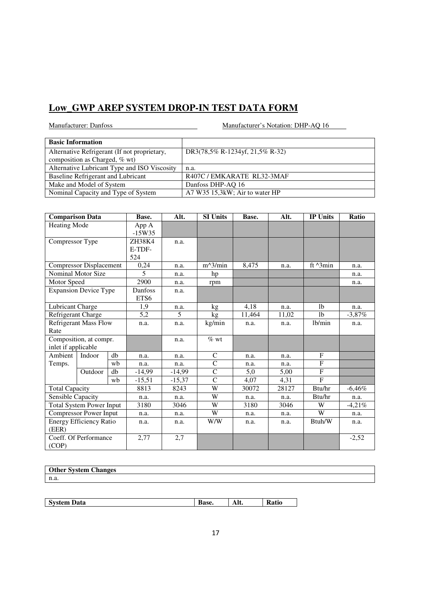| Manufacturer: Danfoss                                                         | Manufacturer's Notation: DHP-AQ 16 |  |  |  |
|-------------------------------------------------------------------------------|------------------------------------|--|--|--|
| <b>Basic Information</b>                                                      |                                    |  |  |  |
| Alternative Refrigerant (If not proprietary,<br>composition as Charged, % wt) | DR3(78,5% R-1234yf, 21,5% R-32)    |  |  |  |
| Alternative Lubricant Type and ISO Viscosity                                  | n.a.                               |  |  |  |
| Baseline Refrigerant and Lubricant                                            | R407C / EMKARATE RL32-3MAF         |  |  |  |
| Make and Model of System                                                      | Danfoss DHP-AQ 16                  |  |  |  |
| Nominal Capacity and Type of System                                           | A7 W35 15,3kW; Air to water HP     |  |  |  |

| <b>Comparison Data</b>          |                                | Base. | Alt.     | <b>SI Units</b> | Base.          | Alt.   | <b>IP Units</b> | Ratio          |          |
|---------------------------------|--------------------------------|-------|----------|-----------------|----------------|--------|-----------------|----------------|----------|
| Heating Mode                    |                                |       | App A    |                 |                |        |                 |                |          |
|                                 |                                |       | $-15W35$ |                 |                |        |                 |                |          |
| Compressor Type                 |                                |       | ZH38K4   | n.a.            |                |        |                 |                |          |
|                                 |                                |       | E-TDF-   |                 |                |        |                 |                |          |
|                                 |                                |       | 524      |                 |                |        |                 |                |          |
|                                 | <b>Compressor Displacement</b> |       | 0,24     | n.a.            | $m^3/min$      | 8,475  | n.a.            | ft ^3min       | n.a.     |
|                                 | Nominal Motor Size             |       | 5        | n.a.            | hp             |        |                 |                | n.a.     |
| Motor Speed                     |                                |       | 2900     | n.a.            | rpm            |        |                 |                | n.a.     |
|                                 | <b>Expansion Device Type</b>   |       | Danfoss  | n.a.            |                |        |                 |                |          |
|                                 |                                |       | ETS6     |                 |                |        |                 |                |          |
| Lubricant Charge                |                                |       | 1.9      | n.a.            | kg             | 4,18   | n.a.            | 1 <sub>b</sub> | n.a.     |
| Refrigerant Charge              |                                |       | 5,2      | 5 <sup>5</sup>  | kg             | 11,464 | 11,02           | 1 <sub>b</sub> | $-3,87%$ |
| <b>Refrigerant Mass Flow</b>    |                                | n.a.  | n.a.     | kg/min          | n.a.           | n.a.   | lb/min          | n.a.           |          |
| Rate                            |                                |       |          |                 |                |        |                 |                |          |
|                                 | Composition, at compr.         |       |          | n.a.            | $%$ wt         |        |                 |                |          |
| inlet if applicable             |                                |       |          |                 |                |        |                 |                |          |
| Ambient                         | Indoor                         | db    | n.a.     | n.a.            | C              | n.a.   | n.a.            | F              |          |
| Temps.                          |                                | wb    | n.a.     | n.a.            | $\overline{C}$ | n.a.   | n.a.            | $\mathbf{F}$   |          |
|                                 | Outdoor                        | db    | $-14,99$ | $-14,99$        | $\mathbf C$    | 5,0    | 5,00            | $\mathbf F$    |          |
|                                 |                                | wb    | $-15,51$ | $-15,37$        | $\mathsf{C}$   | 4,07   | 4,31            | F              |          |
| <b>Total Capacity</b>           |                                |       | 8813     | 8243            | W              | 30072  | 28127           | Btu/hr         | $-6,46%$ |
|                                 | Sensible Capacity              |       | n.a.     | n.a.            | W              | n.a.   | n.a.            | Btu/hr         | n.a.     |
| <b>Total System Power Input</b> |                                | 3180  | 3046     | W               | 3180           | 3046   | W               | $-4,21%$       |          |
| <b>Compressor Power Input</b>   |                                | n.a.  | n.a.     | W               | n.a.           | n.a.   | W               | n.a.           |          |
| <b>Energy Efficiency Ratio</b>  |                                | n.a.  | n.a.     | W/W             | n.a.           | n.a.   | Btuh/W          | n.a.           |          |
| (EER)                           |                                |       |          |                 |                |        |                 |                |          |
|                                 | Coeff. Of Performance          |       | 2,77     | 2,7             |                |        |                 |                | $-2,52$  |
| (COP)                           |                                |       |          |                 |                |        |                 |                |          |

| ~-<br>Other System (<br><b>Changes</b> |  |
|----------------------------------------|--|
| n.a.                                   |  |
|                                        |  |

| Data<br>vstem<br>ັ | . .<br>ase. | <br>ли. | atıo |
|--------------------|-------------|---------|------|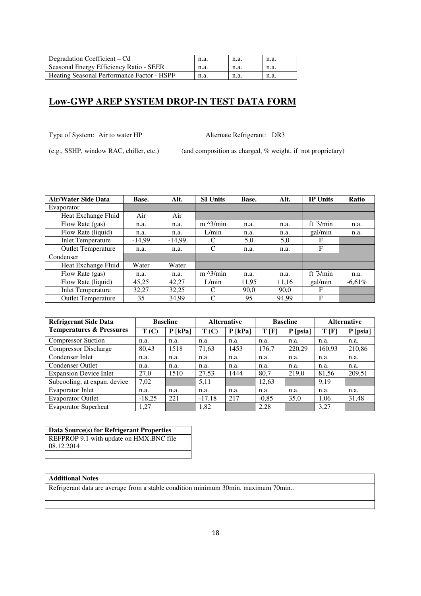| Degradation Coefficient – Cd               | n.a  | n.a. | n.a. |
|--------------------------------------------|------|------|------|
| Seasonal Energy Efficiency Ratio - SEER    | n.a. | n.a  | n.a. |
| Heating Seasonal Performance Factor - HSPF | n.a. | n.a. | n.a. |

Type of System: Air to water HP Alternate Refrigerant: DR3

(e.g., SSHP, window RAC, chiller, etc.) (and composition as charged, % weight, if not proprietary)

| <b>Air/Water Side Data</b> | Base.    | Alt.     | <b>SI Units</b>   | Base. | Alt.  | <b>IP Units</b> | <b>Ratio</b> |
|----------------------------|----------|----------|-------------------|-------|-------|-----------------|--------------|
| Evaporator                 |          |          |                   |       |       |                 |              |
| Heat Exchange Fluid        | Air      | Air      |                   |       |       |                 |              |
| Flow Rate (gas)            | n.a.     | n.a.     | $m \lambda$ 3/min | n.a.  | n.a.  | ft $3/min$      | n.a.         |
| Flow Rate (liquid)         | n.a.     | n.a.     | L/min             | n.a.  | n.a.  | gal/min         | n.a.         |
| <b>Inlet Temperature</b>   | $-14,99$ | $-14,99$ | C                 | 5,0   | 5,0   | F               |              |
| <b>Outlet Temperature</b>  | n.a.     | n.a.     | C                 | n.a.  | n.a.  | F               |              |
| Condenser                  |          |          |                   |       |       |                 |              |
| Heat Exchange Fluid        | Water    | Water    |                   |       |       |                 |              |
| Flow Rate (gas)            | n.a.     | n.a.     | $m^2/$ min        | n.a.  | n.a.  | ft $3/min$      | n.a.         |
| Flow Rate (liquid)         | 45,25    | 42,27    | L/min             | 11,95 | 11,16 | gal/min         | $-6.61\%$    |
| <b>Inlet Temperature</b>   | 32.27    | 32,25    | C                 | 90.0  | 90.0  | F               |              |
| <b>Outlet Temperature</b>  | 35       | 34.99    | C                 | 95    | 94.99 | F               |              |

| <b>Refrigerant Side Data</b>        |          | <b>Baseline</b> | <b>Alternative</b> |           | <b>Baseline</b> |          | <b>Alternative</b> |          |
|-------------------------------------|----------|-----------------|--------------------|-----------|-----------------|----------|--------------------|----------|
| <b>Temperatures &amp; Pressures</b> | T(C)     | $P$ [kPa]       | T(C)               | $P$ [kPa] | T[F]            | P [psia] | T[F]               | P [psia] |
| <b>Compressor Suction</b>           | n.a.     | n.a.            | n.a.               | n.a.      | n.a.            | n.a.     | n.a.               | n.a.     |
| <b>Compressor Discharge</b>         | 80,43    | 1518            | 71,63              | 1453      | 176,7           | 220,29   | 160,93             | 210,86   |
| Condenser Inlet                     | n.a.     | n.a.            | n.a.               | n.a.      | n.a.            | n.a.     | n.a.               | n.a.     |
| Condenser Outlet                    | n.a.     | n.a.            | n.a.               | n.a.      | n.a.            | n.a.     | n.a.               | n.a.     |
| <b>Expansion Device Inlet</b>       | 27,0     | 1510            | 27,53              | 1444      | 80,7            | 219,0    | 81,56              | 209,51   |
| Subcooling, at expan. device        | 7,02     |                 | 5,11               |           | 12,63           |          | 9,19               |          |
| <b>Evaporator Inlet</b>             | n.a.     | n.a.            | n.a.               | n.a.      | n.a.            | n.a.     | n.a.               | n.a.     |
| <b>Evaporator Outlet</b>            | $-18,25$ | 221             | $-17,18$           | 217       | $-0,85$         | 35,0     | 1,06               | 31,48    |
| <b>Evaporator Superheat</b>         | 1,27     |                 | 1,82               |           | 2,28            |          | 3,27               |          |

**Data Source(s) for Refrigerant Properties**  REFPROP 9.1 with update on HMX.BNC file 08.12.2014

### **Additional Notes**

Refrigerant data are average from a stable condition minimum 30min. maximum 70min..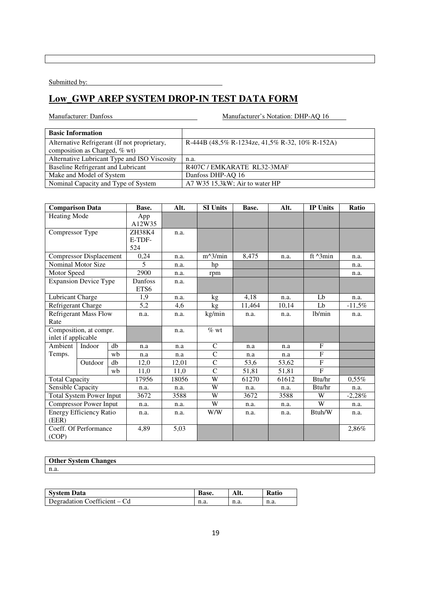Submitted by:

# **Low\_GWP AREP SYSTEM DROP-IN TEST DATA FORM**

| <b>Basic Information</b>                     |                                                    |
|----------------------------------------------|----------------------------------------------------|
| Alternative Refrigerant (If not proprietary, | R-444B $(48.5\%$ R-1234ze, 41.5% R-32, 10% R-152A) |
| composition as Charged, % wt)                |                                                    |
| Alternative Lubricant Type and ISO Viscosity | n.a.                                               |
| Baseline Refrigerant and Lubricant           | R407C / EMKARATE RL32-3MAF                         |
| Make and Model of System                     | Danfoss DHP-AQ 16                                  |
| Nominal Capacity and Type of System          | A7 W35 15,3kW; Air to water HP                     |

| <b>Comparison Data</b>          |                                |      | Base.   | Alt.   | <b>SI Units</b> | Base.  | Alt.   | <b>IP Units</b>   | Ratio    |
|---------------------------------|--------------------------------|------|---------|--------|-----------------|--------|--------|-------------------|----------|
| Heating Mode                    |                                |      | App     |        |                 |        |        |                   |          |
|                                 |                                |      | A12W35  |        |                 |        |        |                   |          |
| Compressor Type                 |                                |      | ZH38K4  | n.a.   |                 |        |        |                   |          |
|                                 |                                |      | E-TDF-  |        |                 |        |        |                   |          |
|                                 |                                |      | 524     |        |                 |        |        |                   |          |
|                                 | <b>Compressor Displacement</b> |      | 0,24    | n.a.   | $m^3/min$       | 8,475  | n.a.   | ft $\lambda$ 3min | n.a.     |
|                                 | Nominal Motor Size             |      | 5       | n.a.   | hp              |        |        |                   | n.a.     |
| Motor Speed                     |                                |      | 2900    | n.a.   | rpm             |        |        |                   | n.a.     |
|                                 | <b>Expansion Device Type</b>   |      | Danfoss | n.a.   |                 |        |        |                   |          |
|                                 |                                |      | ETS6    |        |                 |        |        |                   |          |
| Lubricant Charge                |                                |      | 1,9     | n.a.   | kg              | 4,18   | n.a.   | Lb                | n.a.     |
|                                 | Refrigerant Charge             |      | 5,2     | 4,6    | kg <sub>2</sub> | 11,464 | 10,14  | Lb                | $-11,5%$ |
| <b>Refrigerant Mass Flow</b>    |                                | n.a. | n.a.    | kg/min | n.a.            | n.a.   | 1b/min | n.a.              |          |
| Rate                            |                                |      |         |        |                 |        |        |                   |          |
|                                 | Composition, at compr.         |      |         | n.a.   | $%$ wt          |        |        |                   |          |
| inlet if applicable             |                                |      |         |        |                 |        |        |                   |          |
| Ambient                         | Indoor                         | $db$ | n.a     | n.a    | $\mathbf C$     | n.a    | n.a    | F                 |          |
| Temps.                          |                                | wb   | n.a     | n.a    | $\mathsf{C}$    | n.a    | n.a    | $\mathbf{F}$      |          |
|                                 | Outdoor                        | db   | 12,0    | 12,01  | $\mathbf C$     | 53,6   | 53,62  | F                 |          |
|                                 |                                | wb   | 11,0    | 11,0   | $\overline{C}$  | 51,81  | 51,81  | F                 |          |
| <b>Total Capacity</b>           |                                |      | 17956   | 18056  | W               | 61270  | 61612  | Btu/hr            | $0,55\%$ |
| Sensible Capacity               |                                |      | n.a.    | n.a.   | W               | n.a.   | n.a.   | Btu/hr            | n.a.     |
| <b>Total System Power Input</b> |                                | 3672 | 3588    | W      | 3672            | 3588   | W      | $-2,28\%$         |          |
| Compressor Power Input          |                                | n.a. | n.a.    | W      | n.a.            | n.a.   | W      | n.a.              |          |
| <b>Energy Efficiency Ratio</b>  |                                | n.a. | n.a.    | W/W    | n.a.            | n.a.   | Btuh/W | n.a.              |          |
| (EER)                           |                                |      |         |        |                 |        |        |                   |          |
|                                 | Coeff. Of Performance          |      | 4,89    | 5,03   |                 |        |        |                   | 2,86%    |
| (COP)                           |                                |      |         |        |                 |        |        |                   |          |

| $\sim$<br><b>Other System Changes</b> |  |
|---------------------------------------|--|
| n.a.                                  |  |

| <b>System Data</b>           | Base. | AIL. | <b>Ratio</b> |
|------------------------------|-------|------|--------------|
| Degradation Coefficient – Cd | n.a.  | n.a. | n.a.         |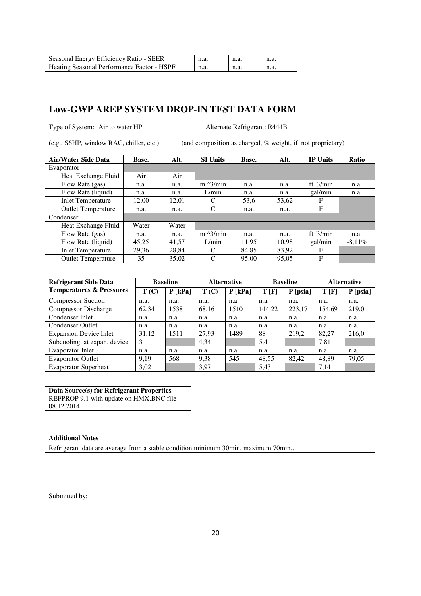| Seasonal Energy Efficiency Ratio - SEER    | n.a. | n.a. | n.a. |
|--------------------------------------------|------|------|------|
| Heating Seasonal Performance Factor - HSPF | n.a. | n.a. | n.a. |

Type of System: Air to water HP Alternate Refrigerant: R444B

(e.g., SSHP, window RAC, chiller, etc.) (and composition as charged, % weight, if not proprietary)

| <b>Air/Water Side Data</b> | Base. | Alt.  | <b>SI Units</b>   | Base. | Alt.  | <b>IP Units</b> | <b>Ratio</b> |
|----------------------------|-------|-------|-------------------|-------|-------|-----------------|--------------|
| Evaporator                 |       |       |                   |       |       |                 |              |
| Heat Exchange Fluid        | Air   | Air   |                   |       |       |                 |              |
| Flow Rate (gas)            | n.a.  | n.a.  | $m \lambda$ 3/min | n.a.  | n.a.  | ft $3/min$      | n.a.         |
| Flow Rate (liquid)         | n.a.  | n.a.  | L/min             | n.a.  | n.a.  | gal/min         | n.a.         |
| <b>Inlet Temperature</b>   | 12,00 | 12,01 | C                 | 53,6  | 53,62 | F               |              |
| <b>Outlet Temperature</b>  | n.a.  | n.a.  | C                 | n.a.  | n.a.  | F               |              |
| Condenser                  |       |       |                   |       |       |                 |              |
| Heat Exchange Fluid        | Water | Water |                   |       |       |                 |              |
| Flow Rate (gas)            | n.a.  | n.a.  | $m \frac{3}{min}$ | n.a.  | n.a.  | ft $3/min$      | n.a.         |
| Flow Rate (liquid)         | 45,25 | 41.57 | L/min             | 11.95 | 10.98 | gal/min         | $-8.11\%$    |
| <b>Inlet Temperature</b>   | 29,36 | 28,84 | C                 | 84,85 | 83,92 | F               |              |
| <b>Outlet Temperature</b>  | 35    | 35,02 | C                 | 95,00 | 95,05 | F               |              |

| <b>Refrigerant Side Data</b>        | <b>Baseline</b> |           | <b>Alternative</b> |           | <b>Baseline</b> |            | <b>Alternative</b> |            |
|-------------------------------------|-----------------|-----------|--------------------|-----------|-----------------|------------|--------------------|------------|
| <b>Temperatures &amp; Pressures</b> | T(C)            | $P$ [kPa] | T(C)               | $P$ [kPa] | T[F]            | $P$ [psia] | T[F]               | $P$ [psia] |
| <b>Compressor Suction</b>           | n.a.            | n.a.      | n.a.               | n.a.      | n.a.            | n.a.       | n.a.               | n.a.       |
| <b>Compressor Discharge</b>         | 62,34           | 1538      | 68,16              | 1510      | 144,22          | 223,17     | 154,69             | 219,0      |
| Condenser Inlet                     | n.a.            | n.a.      | n.a.               | n.a.      | n.a.            | n.a.       | n.a.               | n.a.       |
| <b>Condenser Outlet</b>             | n.a.            | n.a.      | n.a.               | n.a.      | n.a.            | n.a.       | n.a.               | n.a.       |
| <b>Expansion Device Inlet</b>       | 31,12           | 1511      | 27,93              | 1489      | 88              | 219,2      | 82,27              | 216,0      |
| Subcooling, at expan. device        | 3               |           | 4,34               |           | 5,4             |            | 7,81               |            |
| Evaporator Inlet                    | n.a.            | n.a.      | n.a.               | n.a.      | n.a.            | n.a.       | n.a.               | n.a.       |
| <b>Evaporator Outlet</b>            | 9.19            | 568       | 9,38               | 545       | 48,55           | 82,42      | 48,89              | 79,05      |
| <b>Evaporator Superheat</b>         | 3,02            |           | 3,97               |           | 5.43            |            | 7.14               |            |

**Data Source(s) for Refrigerant Properties** 

REFPROP 9.1 with update on HMX.BNC file 08.12.2014

### **Additional Notes**

Refrigerant data are average from a stable condition minimum 30min. maximum 70min..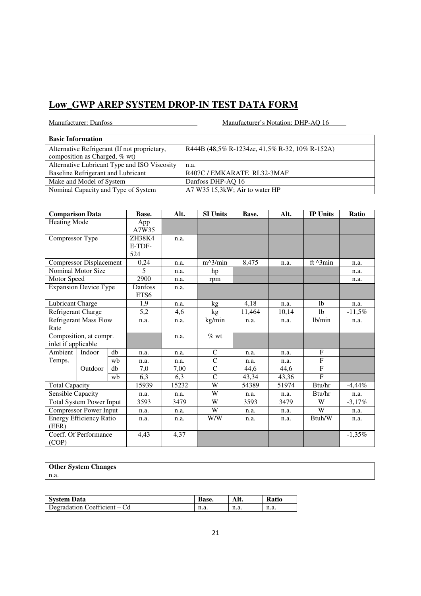Manufacturer: Danfoss Manufacturer's Notation: DHP-AQ 16

| <b>Basic Information</b>                     |                                                |
|----------------------------------------------|------------------------------------------------|
| Alternative Refrigerant (If not proprietary, | R444B (48,5% R-1234ze, 41,5% R-32, 10% R-152A) |
| composition as Charged, % wt)                |                                                |
| Alternative Lubricant Type and ISO Viscosity | n.a.                                           |
| Baseline Refrigerant and Lubricant           | R407C/EMKARATE RL32-3MAF                       |
| Make and Model of System                     | Danfoss DHP-AQ 16                              |
| Nominal Capacity and Type of System          | A7 W35 15,3kW; Air to water HP                 |

| <b>Comparison Data</b>          |                                |      | Base.        | Alt.   | <b>SI Units</b> | Base.  | Alt.   | <b>IP Units</b>    | Ratio    |
|---------------------------------|--------------------------------|------|--------------|--------|-----------------|--------|--------|--------------------|----------|
| Heating Mode                    |                                |      | App<br>A7W35 |        |                 |        |        |                    |          |
| Compressor Type                 |                                |      | ZH38K4       | n.a.   |                 |        |        |                    |          |
|                                 |                                |      | E-TDF-       |        |                 |        |        |                    |          |
|                                 |                                |      | 524          |        |                 |        |        |                    |          |
|                                 | <b>Compressor Displacement</b> |      | 0,24         | n.a.   | $m^3/min$       | 8,475  | n.a.   | ft $^{\wedge}3min$ | n.a.     |
|                                 | Nominal Motor Size             |      | 5            | n.a.   | hp              |        |        |                    | n.a.     |
| Motor Speed                     |                                |      | 2900         | n.a.   | rpm             |        |        |                    | n.a.     |
|                                 | <b>Expansion Device Type</b>   |      | Danfoss      | n.a.   |                 |        |        |                    |          |
|                                 |                                |      | ETS6         |        |                 |        |        |                    |          |
| Lubricant Charge                |                                |      | 1.9          | n.a.   | kg              | 4,18   | n.a.   | 1 <sub>b</sub>     | n.a.     |
|                                 | Refrigerant Charge             |      | 5,2          | 4,6    | kg              | 11,464 | 10,14  | 1 <sub>b</sub>     | $-11,5%$ |
| <b>Refrigerant Mass Flow</b>    |                                | n.a. | n.a.         | kg/min | n.a.            | n.a.   | 1b/min | n.a.               |          |
| Rate                            |                                |      |              |        |                 |        |        |                    |          |
|                                 | Composition, at compr.         |      |              | n.a.   | $%$ wt          |        |        |                    |          |
| inlet if applicable             |                                |      |              |        |                 |        |        |                    |          |
| Ambient                         | Indoor                         | db   | n.a.         | n.a.   | $\mathsf{C}$    | n.a.   | n.a.   | F                  |          |
| Temps.                          |                                | wb   | n.a.         | n.a.   | $\mathbf C$     | n.a.   | n.a.   | F                  |          |
|                                 | Outdoor                        | db   | 7,0          | 7,00   | $\overline{C}$  | 44,6   | 44,6   | F                  |          |
|                                 |                                | wb   | 6,3          | 6,3    | $\overline{C}$  | 43,34  | 43,36  | $\mathbf{F}$       |          |
| <b>Total Capacity</b>           |                                |      | 15939        | 15232  | W               | 54389  | 51974  | Btu/hr             | $-4,44%$ |
| Sensible Capacity               |                                |      | n.a.         | n.a.   | W               | n.a.   | n.a.   | Btu/hr             | n.a.     |
| <b>Total System Power Input</b> |                                | 3593 | 3479         | W      | 3593            | 3479   | W      | $-3,17%$           |          |
| <b>Compressor Power Input</b>   |                                | n.a. | n.a.         | W      | n.a.            | n.a.   | W      | n.a.               |          |
| <b>Energy Efficiency Ratio</b>  |                                | n.a. | n.a.         | W/W    | n.a.            | n.a.   | Btuh/W | n.a.               |          |
| (EER)                           |                                |      |              |        |                 |        |        |                    |          |
|                                 | Coeff. Of Performance          |      | 4,43         | 4,37   |                 |        |        |                    | $-1,35%$ |
| (COP)                           |                                |      |              |        |                 |        |        |                    |          |

### **Other System Changes**  n.a.

| <b>System Data</b>           | <b>Base.</b> | Alt. | <b>Ratio</b> |
|------------------------------|--------------|------|--------------|
| Degradation Coefficient – Cd | n.a.         | n.a. | n.a.         |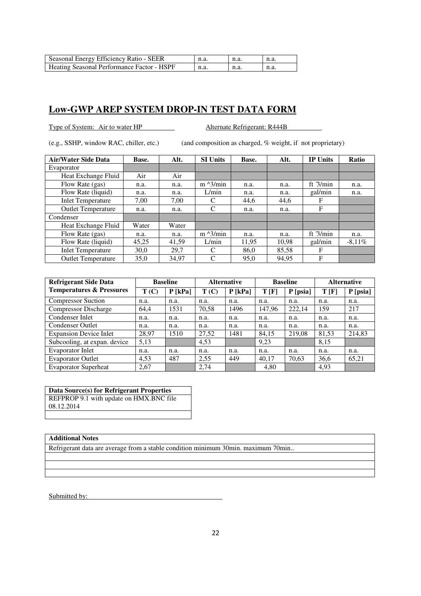| Seasonal Energy Efficiency Ratio - SEER    | n.a. | n.a. | n.a. |
|--------------------------------------------|------|------|------|
| Heating Seasonal Performance Factor - HSPF | n.a. | n.a. | n.a. |

Type of System: Air to water HP Alternate Refrigerant: R444B

(e.g., SSHP, window RAC, chiller, etc.) (and composition as charged, % weight, if not proprietary)

| <b>Air/Water Side Data</b> | Base. | Alt.  | <b>SI Units</b>   | Base. | Alt.  | <b>IP Units</b> | <b>Ratio</b> |
|----------------------------|-------|-------|-------------------|-------|-------|-----------------|--------------|
| Evaporator                 |       |       |                   |       |       |                 |              |
| Heat Exchange Fluid        | Air   | Air   |                   |       |       |                 |              |
| Flow Rate (gas)            | n.a.  | n.a.  | $m \lambda$ 3/min | n.a.  | n.a.  | ft $3/min$      | n.a.         |
| Flow Rate (liquid)         | n.a.  | n.a.  | L/min             | n.a.  | n.a.  | gal/min         | n.a.         |
| <b>Inlet Temperature</b>   | 7.00  | 7.00  | C                 | 44.6  | 44,6  | F               |              |
| <b>Outlet Temperature</b>  | n.a.  | n.a.  | C                 | n.a.  | n.a.  | F               |              |
| Condenser                  |       |       |                   |       |       |                 |              |
| Heat Exchange Fluid        | Water | Water |                   |       |       |                 |              |
| Flow Rate (gas)            | n.a.  | n.a.  | $m \lambda$ 3/min | n.a.  | n.a.  | ft $3/min$      | n.a.         |
| Flow Rate (liquid)         | 45,25 | 41,59 | L/min             | 11.95 | 10.98 | gal/min         | $-8.11\%$    |
| <b>Inlet Temperature</b>   | 30,0  | 29,7  | C                 | 86,0  | 85,58 | F               |              |
| <b>Outlet Temperature</b>  | 35,0  | 34,97 | C                 | 95,0  | 94,95 | F               |              |

| <b>Refrigerant Side Data</b>        | <b>Baseline</b> |           | <b>Alternative</b> |           | <b>Baseline</b> |            | <b>Alternative</b> |          |
|-------------------------------------|-----------------|-----------|--------------------|-----------|-----------------|------------|--------------------|----------|
| <b>Temperatures &amp; Pressures</b> | T(C)            | $P$ [kPa] | T(C)               | $P$ [kPa] | T[F]            | $P$ [psia] | T[F]               | P [psia] |
| <b>Compressor Suction</b>           | n.a.            | n.a.      | n.a.               | n.a.      | n.a.            | n.a.       | n.a.               | n.a.     |
| <b>Compressor Discharge</b>         | 64,4            | 1531      | 70,58              | 1496      | 147,96          | 222,14     | 159                | 217      |
| Condenser Inlet                     | n.a.            | n.a.      | n.a.               | n.a.      | n.a.            | n.a.       | n.a.               | n.a.     |
| <b>Condenser Outlet</b>             | n.a.            | n.a.      | n.a.               | n.a.      | n.a.            | n.a.       | n.a.               | n.a.     |
| <b>Expansion Device Inlet</b>       | 28,97           | 1510      | 27,52              | 1481      | 84,15           | 219,08     | 81,53              | 214,83   |
| Subcooling, at expan. device        | 5,13            |           | 4,53               |           | 9,23            |            | 8,15               |          |
| <b>Evaporator Inlet</b>             | n.a.            | n.a.      | n.a.               | n.a.      | n.a.            | n.a.       | n.a.               | n.a.     |
| <b>Evaporator Outlet</b>            | 4,53            | 487       | 2,55               | 449       | 40,17           | 70,63      | 36,6               | 65,21    |
| <b>Evaporator Superheat</b>         | 2.67            |           | 2.74               |           | 4.80            |            | 4,93               |          |

**Data Source(s) for Refrigerant Properties** 

REFPROP 9.1 with update on HMX.BNC file 08.12.2014

### **Additional Notes**

Refrigerant data are average from a stable condition minimum 30min. maximum 70min..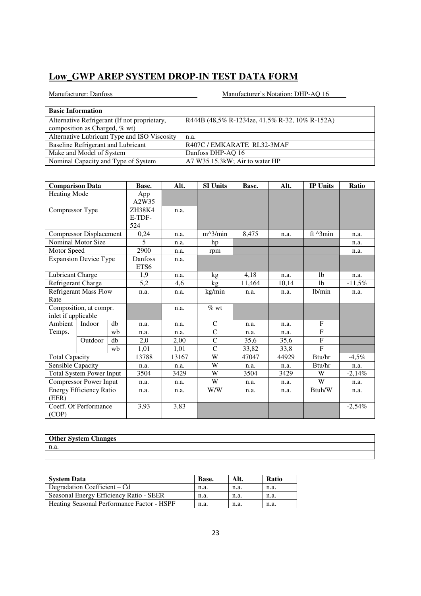| <b>Basic Information</b>                     |                                                |
|----------------------------------------------|------------------------------------------------|
| Alternative Refrigerant (If not proprietary, | R444B (48,5% R-1234ze, 41,5% R-32, 10% R-152A) |
| composition as Charged, % wt)                |                                                |
| Alternative Lubricant Type and ISO Viscosity | n.a.                                           |
| Baseline Refrigerant and Lubricant           | R407C/EMKARATE RL32-3MAF                       |
| Make and Model of System                     | Danfoss DHP-AQ 16                              |
| Nominal Capacity and Type of System          | A7 W35 15,3kW; Air to water HP                 |

| <b>Comparison Data</b>               |                                 |                         | Base.           | Alt.   | <b>SI Units</b> | Base. | Alt.           | <b>IP Units</b>   | Ratio    |
|--------------------------------------|---------------------------------|-------------------------|-----------------|--------|-----------------|-------|----------------|-------------------|----------|
| <b>Heating Mode</b>                  |                                 |                         | App<br>A2W35    |        |                 |       |                |                   |          |
| Compressor Type                      |                                 | ZH38K4<br>E-TDF-<br>524 | n.a.            |        |                 |       |                |                   |          |
|                                      | <b>Compressor Displacement</b>  |                         | 0,24            | n.a.   | $m^3/min$       | 8,475 | n.a.           | ft $\lambda$ 3min | n.a.     |
|                                      | Nominal Motor Size              |                         | 5               | n.a.   | hp              |       |                |                   | n.a.     |
| Motor Speed                          |                                 |                         | 2900            | n.a.   | rpm             |       |                |                   | n.a.     |
|                                      | <b>Expansion Device Type</b>    |                         | Danfoss<br>ETS6 | n.a.   |                 |       |                |                   |          |
| Lubricant Charge                     |                                 |                         | 1.9             | n.a.   | kg              | 4.18  | n.a.           | 1 <sub>b</sub>    | n.a.     |
| Refrigerant Charge                   |                                 | 5,2                     | 4,6             | kg     | 11,464          | 10,14 | 1 <sub>b</sub> | $-11,5%$          |          |
| <b>Refrigerant Mass Flow</b><br>Rate |                                 | n.a.                    | n.a.            | kg/min | n.a.            | n.a.  | lb/min         | n.a.              |          |
| inlet if applicable                  | Composition, at compr.          |                         |                 | n.a.   | $\%$ wt         |       |                |                   |          |
| Ambient                              | Indoor                          | db                      | n.a.            | n.a.   | $\mathsf{C}$    | n.a.  | n.a.           | $\mathbf{F}$      |          |
| Temps.                               |                                 | wb                      | n.a.            | n.a.   | $\mathsf{C}$    | n.a.  | n.a.           | F                 |          |
|                                      | Outdoor                         | db                      | 2,0             | 2,00   | $\overline{C}$  | 35,6  | 35,6           | $\mathbf F$       |          |
|                                      |                                 | wh                      | 1,01            | 1,01   | $\mathcal{C}$   | 33,82 | 33,8           | F                 |          |
| <b>Total Capacity</b>                |                                 |                         | 13788           | 13167  | W               | 47047 | 44929          | Btu/hr            | $-4.5\%$ |
| Sensible Capacity                    |                                 |                         | n.a.            | n.a.   | W               | n.a.  | n.a.           | Btu/hr            | n.a.     |
|                                      | <b>Total System Power Input</b> |                         | 3504            | 3429   | W               | 3504  | 3429           | W                 | $-2,14%$ |
| <b>Compressor Power Input</b>        |                                 | n.a.                    | n.a.            | W      | n.a.            | n.a.  | W              | n.a.              |          |
| (EER)                                | <b>Energy Efficiency Ratio</b>  |                         | n.a.            | n.a.   | W/W             | n.a.  | n.a.           | Btuh/W            | n.a.     |
| (COP)                                | Coeff. Of Performance           |                         | 3,93            | 3,83   |                 |       |                |                   | $-2,54%$ |

| <b>Other System Changes</b> |  |
|-----------------------------|--|
| n.a.                        |  |
|                             |  |

| <b>System Data</b>                                | Base. | Alt. | Ratio |
|---------------------------------------------------|-------|------|-------|
| Degradation Coefficient – Cd                      | n.a.  | n.a. | n.a.  |
| Seasonal Energy Efficiency Ratio - SEER           | n.a.  | n.a. | n.a.  |
| <b>Heating Seasonal Performance Factor - HSPF</b> | n.a.  | n.a. | n.a.  |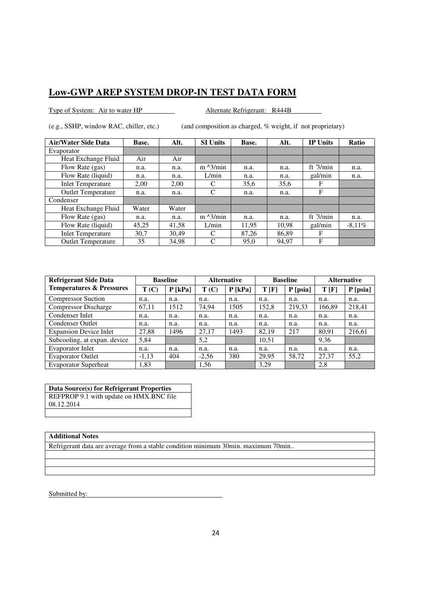Type of System: Air to water HP Alternate Refrigerant: R444B

(e.g., SSHP, window RAC, chiller, etc.) (and composition as charged, % weight, if not proprietary)

| <b>Air/Water Side Data</b> | Base. | Alt.  | <b>SI Units</b>   | Base. | Alt.  | <b>IP Units</b> | <b>Ratio</b> |
|----------------------------|-------|-------|-------------------|-------|-------|-----------------|--------------|
| Evaporator                 |       |       |                   |       |       |                 |              |
| Heat Exchange Fluid        | Air   | Air   |                   |       |       |                 |              |
| Flow Rate (gas)            | n.a.  | n.a.  | $m \lambda$ 3/min | n.a.  | n.a.  | ft $3/min$      | n.a.         |
| Flow Rate (liquid)         | n.a.  | n.a.  | L/min             | n.a.  | n.a.  | gal/min         | n.a.         |
| <b>Inlet Temperature</b>   | 2.00  | 2,00  | C                 | 35,6  | 35,6  | F               |              |
| <b>Outlet Temperature</b>  | n.a.  | n.a.  | C                 | n.a.  | n.a.  | F               |              |
| Condenser                  |       |       |                   |       |       |                 |              |
| Heat Exchange Fluid        | Water | Water |                   |       |       |                 |              |
| Flow Rate (gas)            | n.a.  | n.a.  | $m \lambda$ 3/min | n.a.  | n.a.  | ft $3/min$      | n.a.         |
| Flow Rate (liquid)         | 45,25 | 41,58 | L/min             | 11.95 | 10.98 | gal/min         | $-8.11\%$    |
| <b>Inlet Temperature</b>   | 30.7  | 30.49 | C                 | 87.26 | 86.89 | F               |              |
| <b>Outlet Temperature</b>  | 35    | 34,98 | C                 | 95,0  | 94.97 | F               |              |

| <b>Refrigerant Side Data</b>        |         | <b>Baseline</b> |         | <b>Alternative</b> |       | <b>Baseline</b> | <b>Alternative</b> |          |
|-------------------------------------|---------|-----------------|---------|--------------------|-------|-----------------|--------------------|----------|
| <b>Temperatures &amp; Pressures</b> | T(C)    | $P$ [kPa]       | T(C)    | $P$ [kPa]          | T[F]  | $P$ [psia]      | T[F]               | P [psia] |
| <b>Compressor Suction</b>           | n.a.    | n.a.            | n.a.    | n.a.               | n.a.  | n.a.            | n.a.               | n.a.     |
| <b>Compressor Discharge</b>         | 67,11   | 1512            | 74,94   | 1505               | 152,8 | 219,33          | 166,89             | 218,41   |
| Condenser Inlet                     | n.a.    | n.a.            | n.a.    | n.a.               | n.a.  | n.a.            | n.a.               | n.a.     |
| <b>Condenser Outlet</b>             | n.a.    | n.a.            | n.a.    | n.a.               | n.a.  | n.a.            | n.a.               | n.a.     |
| <b>Expansion Device Inlet</b>       | 27,88   | 1496            | 27.17   | 1493               | 82.19 | 217             | 80,91              | 216,61   |
| Subcooling, at expan. device        | 5,84    |                 | 5,2     |                    | 10,51 |                 | 9,36               |          |
| <b>Evaporator Inlet</b>             | n.a.    | n.a.            | n.a.    | n.a.               | n.a.  | n.a.            | n.a.               | n.a.     |
| <b>Evaporator Outlet</b>            | $-1,13$ | 404             | $-2,56$ | 380                | 29,95 | 58,72           | 27,37              | 55,2     |
| <b>Evaporator Superheat</b>         | 1,83    |                 | 1,56    |                    | 3.29  |                 | 2,8                |          |

**Data Source(s) for Refrigerant Properties**  REFPROP 9.1 with update on HMX.BNC file 08.12.2014

### **Additional Notes**

Refrigerant data are average from a stable condition minimum 30min. maximum 70min..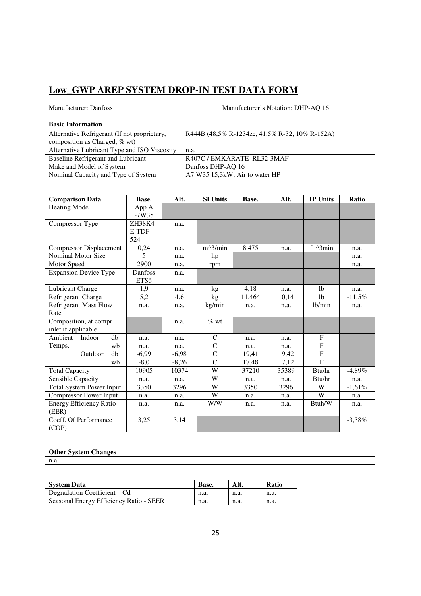| <b>Basic Information</b>                     |                                                |
|----------------------------------------------|------------------------------------------------|
| Alternative Refrigerant (If not proprietary, | R444B (48,5% R-1234ze, 41,5% R-32, 10% R-152A) |
| composition as Charged, % wt)                |                                                |
| Alternative Lubricant Type and ISO Viscosity | n.a.                                           |
| Baseline Refrigerant and Lubricant           | R407C/EMKARATE RL32-3MAF                       |
| Make and Model of System                     | Danfoss DHP-AQ 16                              |
| Nominal Capacity and Type of System          | A7 W35 15,3kW; Air to water HP                 |

| <b>Comparison Data</b>          |                                | Base. | Alt.    | <b>SI Units</b> | Base.          | Alt.  | <b>IP Units</b> | Ratio              |           |
|---------------------------------|--------------------------------|-------|---------|-----------------|----------------|-------|-----------------|--------------------|-----------|
| <b>Heating Mode</b>             |                                | App A |         |                 |                |       |                 |                    |           |
|                                 |                                |       | $-7W35$ |                 |                |       |                 |                    |           |
| Compressor Type                 |                                |       | ZH38K4  | n.a.            |                |       |                 |                    |           |
|                                 |                                |       | E-TDF-  |                 |                |       |                 |                    |           |
|                                 |                                |       | 524     |                 |                |       |                 |                    |           |
|                                 | <b>Compressor Displacement</b> |       | 0,24    | n.a.            | $m^3/min$      | 8,475 | n.a.            | ft $^{\wedge}3min$ | n.a.      |
|                                 | Nominal Motor Size             |       | 5       | n.a.            | hp             |       |                 |                    | n.a.      |
| Motor Speed                     |                                |       | 2900    | n.a.            | rpm            |       |                 |                    | n.a.      |
|                                 | <b>Expansion Device Type</b>   |       | Danfoss | n.a.            |                |       |                 |                    |           |
|                                 |                                |       | ETS6    |                 |                |       |                 |                    |           |
| Lubricant Charge                |                                | 1,9   | n.a.    | kg              | 4,18           | n.a.  | 1 <sub>b</sub>  | n.a.               |           |
| Refrigerant Charge              |                                | 5,2   | 4,6     | kg              | 11,464         | 10,14 | 1 <sub>b</sub>  | $-11.5\%$          |           |
| <b>Refrigerant Mass Flow</b>    |                                | n.a.  | n.a.    | kg/min          | n.a.           | n.a.  | lb/min          | n.a.               |           |
| Rate                            |                                |       |         |                 |                |       |                 |                    |           |
|                                 | Composition, at compr.         |       |         | n.a.            | $%$ wt         |       |                 |                    |           |
| inlet if applicable             |                                |       |         |                 |                |       |                 |                    |           |
| Ambient                         | Indoor                         | db    | n.a.    | n.a.            | $\mathsf{C}$   | n.a.  | n.a.            | F                  |           |
| Temps.                          |                                | wh    | n.a.    | n.a.            | $\mathsf{C}$   | n.a.  | n.a.            | $\mathbf F$        |           |
|                                 | Outdoor                        | db    | $-6,99$ | $-6.98$         | $\mathbf C$    | 19,41 | 19,42           | $\mathbf F$        |           |
|                                 |                                | wb    | $-8,0$  | $-8,26$         | $\overline{C}$ | 17,48 | 17,12           | F                  |           |
| <b>Total Capacity</b>           |                                |       | 10905   | 10374           | W              | 37210 | 35389           | Btu/hr             | $-4,89\%$ |
| Sensible Capacity               |                                |       | n.a.    | n.a.            | W              | n.a.  | n.a.            | Btu/hr             | n.a.      |
| <b>Total System Power Input</b> |                                | 3350  | 3296    | W               | 3350           | 3296  | W               | $-1,61%$           |           |
|                                 | <b>Compressor Power Input</b>  |       | n.a.    | n.a.            | W              | n.a.  | n.a.            | W                  | n.a.      |
|                                 | <b>Energy Efficiency Ratio</b> |       | n.a.    | n.a.            | W/W            | n.a.  | n.a.            | Btuh/W             | n.a.      |
| (EER)                           |                                |       |         |                 |                |       |                 |                    |           |
|                                 | Coeff. Of Performance          |       | 3,25    | 3,14            |                |       |                 |                    | $-3,38\%$ |
| (COP)                           |                                |       |         |                 |                |       |                 |                    |           |

| <b>Other System</b><br>'hongos<br>лапесь |  |
|------------------------------------------|--|
| n.a                                      |  |

| <b>System Data</b>                      | Base. | Alt. | <b>Ratio</b> |
|-----------------------------------------|-------|------|--------------|
| Degradation Coefficient – Cd            | n.a.  | n.a. | n.a.         |
| Seasonal Energy Efficiency Ratio - SEER | n.a.  | n.a. | n.a.         |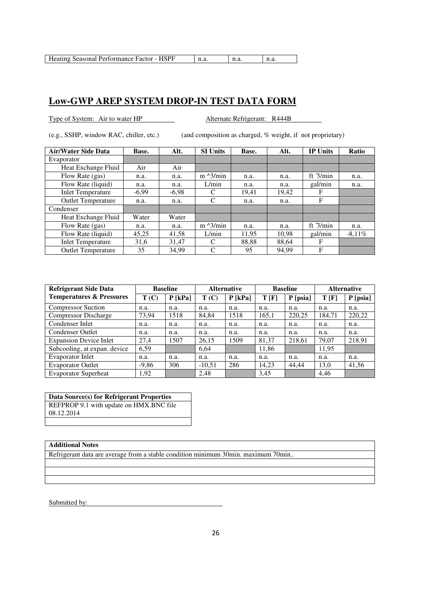| Heating Seasonal Performance Factor - HSPF |  |  |  |
|--------------------------------------------|--|--|--|
|--------------------------------------------|--|--|--|

Type of System: Air to water HP Alternate Refrigerant: R444B

(e.g., SSHP, window RAC, chiller, etc.) (and composition as charged, % weight, if not proprietary)

| <b>Air/Water Side Data</b> | Base.   | Alt.    | <b>SI Units</b>   | Base. | Alt.  | <b>IP Units</b> | Ratio     |
|----------------------------|---------|---------|-------------------|-------|-------|-----------------|-----------|
| Evaporator                 |         |         |                   |       |       |                 |           |
| Heat Exchange Fluid        | Air     | Air     |                   |       |       |                 |           |
| Flow Rate (gas)            | n.a.    | n.a.    | $m \lambda$ 3/min | n.a.  | n.a.  | ft $3/min$      | n.a.      |
| Flow Rate (liquid)         | n.a.    | n.a.    | L/min             | n.a.  | n.a.  | gal/min         | n.a.      |
| <b>Inlet Temperature</b>   | $-6,99$ | $-6,98$ | C                 | 19,41 | 19,42 | F               |           |
| <b>Outlet Temperature</b>  | n.a.    | n.a.    | C                 | n.a.  | n.a.  | F               |           |
| Condenser                  |         |         |                   |       |       |                 |           |
| Heat Exchange Fluid        | Water   | Water   |                   |       |       |                 |           |
| Flow Rate (gas)            | n.a.    | n.a.    | $m \lambda$ 3/min | n.a.  | n.a.  | ft $3/min$      | n.a.      |
| Flow Rate (liquid)         | 45,25   | 41,58   | L/min             | 11.95 | 10,98 | gal/min         | $-8.11\%$ |
| <b>Inlet Temperature</b>   | 31,6    | 31,47   | C                 | 88,88 | 88,64 | F               |           |
| <b>Outlet Temperature</b>  | 35      | 34.99   | C                 | 95    | 94.99 | F               |           |

| <b>Refrigerant Side Data</b>        | <b>Baseline</b> |           | <b>Alternative</b> |           | <b>Baseline</b> |            | <b>Alternative</b> |            |
|-------------------------------------|-----------------|-----------|--------------------|-----------|-----------------|------------|--------------------|------------|
| <b>Temperatures &amp; Pressures</b> | T(C)            | $P$ [kPa] | T(C)               | $P$ [kPa] | T[F]            | $P$ [psia] | T[F]               | $P$ [psia] |
| <b>Compressor Suction</b>           | n.a.            | n.a.      | n.a.               | n.a.      | n.a.            | n.a.       | n.a.               | n.a.       |
| <b>Compressor Discharge</b>         | 73,94           | 1518      | 84,84              | 1518      | 165,1           | 220,25     | 184,71             | 220,22     |
| Condenser Inlet                     | n.a.            | n.a.      | n.a.               | n.a.      | n.a.            | n.a.       | n.a.               | n.a.       |
| <b>Condenser Outlet</b>             | n.a.            | n.a.      | n.a.               | n.a.      | n.a.            | n.a.       | n.a.               | n.a.       |
| <b>Expansion Device Inlet</b>       | 27,4            | 1507      | 26,15              | 1509      | 81,37           | 218,61     | 79,07              | 218,91     |
| Subcooling, at expan. device        | 6,59            |           | 6,64               |           | 11,86           |            | 11,95              |            |
| Evaporator Inlet                    | n.a.            | n.a.      | n.a.               | n.a.      | n.a.            | n.a.       | n.a.               | n.a.       |
| <b>Evaporator Outlet</b>            | $-9,86$         | 306       | $-10,51$           | 286       | 14,23           | 44,44      | 13,0               | 41,56      |
| <b>Evaporator Superheat</b>         | 1,92            |           | 2,48               |           | 3,45            |            | 4,46               |            |

**Data Source(s) for Refrigerant Properties**  REFPROP 9.1 with update on HMX.BNC file 08.12.2014

#### **Additional Notes**

Refrigerant data are average from a stable condition minimum 30min. maximum 70min..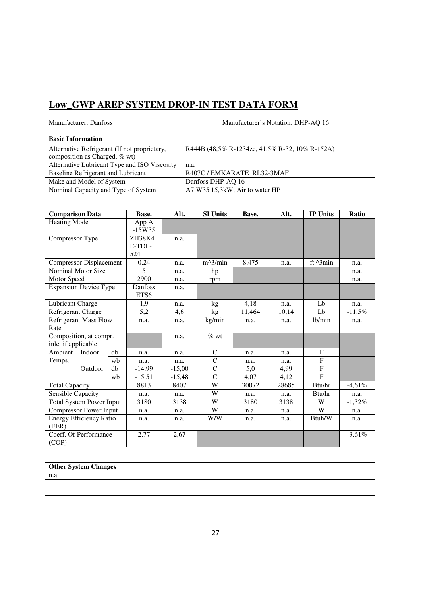Manufacturer: Danfoss Manufacturer's Notation: DHP-AQ 16

| <b>Basic Information</b>                     |                                                |
|----------------------------------------------|------------------------------------------------|
| Alternative Refrigerant (If not proprietary, | R444B (48,5% R-1234ze, 41,5% R-32, 10% R-152A) |
| composition as Charged, % wt)                |                                                |
| Alternative Lubricant Type and ISO Viscosity | n.a.                                           |
| Baseline Refrigerant and Lubricant           | R407C/EMKARATE RL32-3MAF                       |
| Make and Model of System                     | Danfoss DHP-AQ 16                              |
| Nominal Capacity and Type of System          | A7 W35 15,3kW; Air to water HP                 |

| <b>Comparison Data</b>       |                                 | Base. | Alt.              | <b>SI Units</b> | Base.        | Alt.  | <b>IP Units</b> | Ratio              |          |
|------------------------------|---------------------------------|-------|-------------------|-----------------|--------------|-------|-----------------|--------------------|----------|
| Heating Mode                 |                                 |       | App A<br>$-15W35$ |                 |              |       |                 |                    |          |
| Compressor Type              |                                 |       | ZH38K4            | n.a.            |              |       |                 |                    |          |
|                              |                                 |       | E-TDF-            |                 |              |       |                 |                    |          |
|                              |                                 |       | 524               |                 |              |       |                 |                    |          |
|                              | <b>Compressor Displacement</b>  |       | 0,24              | n.a.            | $m^3/min$    | 8,475 | n.a.            | ft $^{\wedge}3min$ | n.a.     |
|                              | Nominal Motor Size              |       | 5                 | n.a.            | hp           |       |                 |                    | n.a.     |
| Motor Speed                  |                                 |       | 2900              | n.a.            | rpm          |       |                 |                    | n.a.     |
|                              | <b>Expansion Device Type</b>    |       | Danfoss           | n.a.            |              |       |                 |                    |          |
|                              |                                 |       | ETS6              |                 |              |       |                 |                    |          |
| Lubricant Charge             |                                 |       | 1.9               | n.a.            | kg           | 4,18  | n.a.            | Lb                 | n.a.     |
| Refrigerant Charge           |                                 | 5,2   | 4,6               | kg              | 11,464       | 10,14 | L <sub>b</sub>  | $-11,5%$           |          |
| <b>Refrigerant Mass Flow</b> |                                 | n.a.  | n.a.              | kg/min          | n.a.         | n.a.  | lb/min          | n.a.               |          |
| Rate                         |                                 |       |                   |                 |              |       |                 |                    |          |
|                              | Composition, at compr.          |       |                   | n.a.            | $%$ wt       |       |                 |                    |          |
| inlet if applicable          |                                 |       |                   |                 |              |       |                 |                    |          |
| Ambient                      | Indoor                          | $db$  | n.a.              | n.a.            | $\mathsf{C}$ | n.a.  | n.a.            | F                  |          |
| Temps.                       |                                 | wb    | n.a.              | n.a.            | $\mathsf{C}$ | n.a.  | n.a.            | ${\bf F}$          |          |
|                              | Outdoor                         | db    | $-14,99$          | $-15,00$        | $\mathbf C$  | 5,0   | 4,99            | $\overline{F}$     |          |
|                              |                                 | wb    | $-15,51$          | $-15,48$        | $\mathbf C$  | 4,07  | 4,12            | $\overline{F}$     |          |
| <b>Total Capacity</b>        |                                 |       | 8813              | 8407            | W            | 30072 | 28685           | Btu/hr             | $-4,61%$ |
| Sensible Capacity            |                                 |       | n.a.              | n.a.            | W            | n.a.  | n.a.            | Btu/hr             | n.a.     |
|                              | <b>Total System Power Input</b> |       | 3180              | 3138            | W            | 3180  | 3138            | W                  | $-1,32%$ |
|                              | <b>Compressor Power Input</b>   |       | n.a.              | n.a.            | W            | n.a.  | n.a.            | W                  | n.a.     |
|                              | <b>Energy Efficiency Ratio</b>  |       | n.a.              | n.a.            | W/W          | n.a.  | n.a.            | Btuh/W             | n.a.     |
| (EER)                        |                                 |       |                   |                 |              |       |                 |                    |          |
|                              | Coeff. Of Performance           |       | 2,77              | 2,67            |              |       |                 |                    | $-3,61%$ |
| (COP)                        |                                 |       |                   |                 |              |       |                 |                    |          |

### **Other System Changes**

n.a.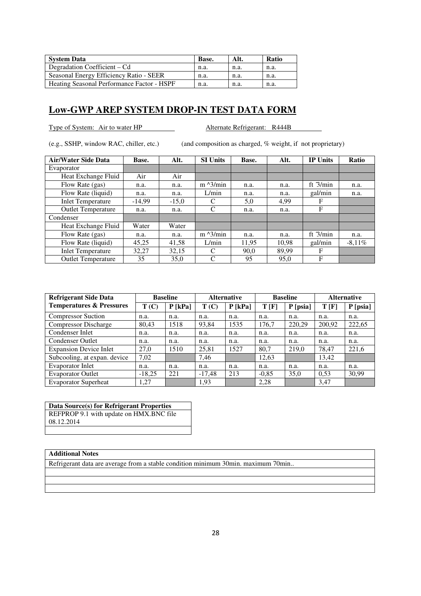| <b>System Data</b>                         | Base. | Alt. | Ratio |
|--------------------------------------------|-------|------|-------|
| Degradation Coefficient – Cd               | n.a.  | n.a. | n.a.  |
| Seasonal Energy Efficiency Ratio - SEER    | n.a.  | n.a. | n.a.  |
| Heating Seasonal Performance Factor - HSPF | n.a.  | n.a. | n.a.  |

Type of System: Air to water HP Alternate Refrigerant: R444B

(e.g., SSHP, window RAC, chiller, etc.) (and composition as charged, % weight, if not proprietary)

| <b>Air/Water Side Data</b> | Base.    | Alt.    | <b>SI Units</b>   | Base. | Alt.  | <b>IP Units</b> | Ratio     |
|----------------------------|----------|---------|-------------------|-------|-------|-----------------|-----------|
| Evaporator                 |          |         |                   |       |       |                 |           |
| Heat Exchange Fluid        | Air      | Air     |                   |       |       |                 |           |
| Flow Rate (gas)            | n.a.     | n.a.    | $m \lambda$ 3/min | n.a.  | n.a.  | ft $3/min$      | n.a.      |
| Flow Rate (liquid)         | n.a.     | n.a.    | L/min             | n.a.  | n.a.  | gal/min         | n.a.      |
| <b>Inlet Temperature</b>   | $-14.99$ | $-15,0$ | C                 | 5,0   | 4.99  | F               |           |
| <b>Outlet Temperature</b>  | n.a.     | n.a.    | C                 | n.a.  | n.a.  | F               |           |
| Condenser                  |          |         |                   |       |       |                 |           |
| Heat Exchange Fluid        | Water    | Water   |                   |       |       |                 |           |
| Flow Rate (gas)            | n.a.     | n.a.    | $m \lambda$ 3/min | n.a.  | n.a.  | ft $3/min$      | n.a.      |
| Flow Rate (liquid)         | 45,25    | 41,58   | L/min             | 11,95 | 10.98 | gal/min         | $-8.11\%$ |
| <b>Inlet Temperature</b>   | 32.27    | 32,15   | C                 | 90.0  | 89.99 | F               |           |
| <b>Outlet Temperature</b>  | 35       | 35,0    | C                 | 95    | 95,0  | F               |           |

| <b>Refrigerant Side Data</b>        | <b>Baseline</b> |           | <b>Alternative</b> |           | <b>Baseline</b> |          | <b>Alternative</b> |            |
|-------------------------------------|-----------------|-----------|--------------------|-----------|-----------------|----------|--------------------|------------|
| <b>Temperatures &amp; Pressures</b> | T(C)            | $P$ [kPa] | T(C)               | $P$ [kPa] | T[F]            | P [psia] | T[F]               | $P$ [psia] |
| <b>Compressor Suction</b>           | n.a.            | n.a.      | n.a.               | n.a.      | n.a.            | n.a.     | n.a.               | n.a.       |
| <b>Compressor Discharge</b>         | 80,43           | 1518      | 93,84              | 1535      | 176,7           | 220,29   | 200,92             | 222,65     |
| Condenser Inlet                     | n.a.            | n.a.      | n.a.               | n.a.      | n.a.            | n.a.     | n.a.               | n.a.       |
| <b>Condenser Outlet</b>             | n.a.            | n.a.      | n.a.               | n.a.      | n.a.            | n.a.     | n.a.               | n.a.       |
| <b>Expansion Device Inlet</b>       | 27,0            | 1510      | 25,81              | 1527      | 80,7            | 219,0    | 78,47              | 221,6      |
| Subcooling, at expan. device        | 7,02            |           | 7,46               |           | 12,63           |          | 13,42              |            |
| Evaporator Inlet                    | n.a.            | n.a.      | n.a.               | n.a.      | n.a.            | n.a.     | n.a.               | n.a.       |
| <b>Evaporator Outlet</b>            | $-18,25$        | 221       | $-17.48$           | 213       | $-0,85$         | 35,0     | 0.53               | 30,99      |
| <b>Evaporator Superheat</b>         | 1,27            |           | 1.93               |           | 2.28            |          | 3.47               |            |

**Data Source(s) for Refrigerant Properties**  REFPROP 9.1 with update on HMX.BNC file 08.12.2014

#### **Additional Notes**

Refrigerant data are average from a stable condition minimum 30min. maximum 70min..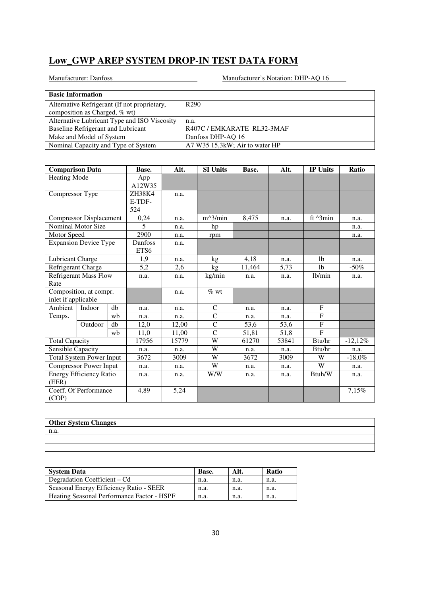| <b>Basic Information</b>                     |                                |
|----------------------------------------------|--------------------------------|
| Alternative Refrigerant (If not proprietary, | R <sub>290</sub>               |
| composition as Charged, % wt)                |                                |
| Alternative Lubricant Type and ISO Viscosity | n.a.                           |
| Baseline Refrigerant and Lubricant           | R407C / EMKARATE RL32-3MAF     |
| Make and Model of System                     | Danfoss DHP-AQ 16              |
| Nominal Capacity and Type of System          | A7 W35 15,3kW; Air to water HP |

| <b>Comparison Data</b>          |                                | Base. | Alt.           | <b>SI Units</b> | Base.         | Alt.  | <b>IP Units</b> | Ratio              |            |
|---------------------------------|--------------------------------|-------|----------------|-----------------|---------------|-------|-----------------|--------------------|------------|
| <b>Heating Mode</b>             |                                |       | App            |                 |               |       |                 |                    |            |
|                                 |                                |       | A12W35         |                 |               |       |                 |                    |            |
| Compressor Type                 |                                |       | ZH38K4         | n.a.            |               |       |                 |                    |            |
|                                 |                                |       | E-TDF-         |                 |               |       |                 |                    |            |
|                                 |                                |       | 524            |                 |               |       |                 |                    |            |
|                                 | Compressor Displacement        |       | 0,24           | n.a.            | $m^3/m$ in    | 8,475 | n.a.            | ft $^{\wedge}3min$ | n.a.       |
|                                 | Nominal Motor Size             |       | $\overline{5}$ | n.a.            | hp            |       |                 |                    | n.a.       |
| Motor Speed                     |                                |       | 2900           | n.a.            | rpm           |       |                 |                    | n.a.       |
|                                 | <b>Expansion Device Type</b>   |       | Danfoss        | n.a.            |               |       |                 |                    |            |
|                                 |                                |       | ETS6           |                 |               |       |                 |                    |            |
| Lubricant Charge                |                                |       | 1,9            | n.a.            | kg            | 4,18  | n.a.            | 1 <sub>b</sub>     | n.a.       |
| Refrigerant Charge              |                                | 5,2   | 2,6            | kg              | 11,464        | 5,73  | 1 <sub>b</sub>  | $-50\%$            |            |
| <b>Refrigerant Mass Flow</b>    |                                | n.a.  | n.a.           | kg/min          | n.a.          | n.a.  | lb/min          | n.a.               |            |
| Rate                            |                                |       |                |                 |               |       |                 |                    |            |
|                                 | Composition, at compr.         |       |                | n.a.            | $%$ wt        |       |                 |                    |            |
| inlet if applicable             |                                |       |                |                 |               |       |                 |                    |            |
| Ambient                         | Indoor                         | db    | n.a.           | n.a.            | C             | n.a.  | n.a.            | F                  |            |
| Temps.                          |                                | wb    | n.a.           | n.a.            | $\mathsf{C}$  | n.a.  | n.a.            | $\mathbf{F}$       |            |
|                                 | Outdoor                        | db    | 12,0           | 12,00           | $\mathsf{C}$  | 53,6  | 53,6            | F                  |            |
|                                 |                                | wb    | 11,0           | 11,00           | $\mathcal{C}$ | 51,81 | 51,8            | F                  |            |
| <b>Total Capacity</b>           |                                |       | 17956          | 15779           | W             | 61270 | 53841           | Btu/hr             | $-12,12\%$ |
| Sensible Capacity               |                                |       | n.a.           | n.a.            | W             | n.a.  | n.a.            | Btu/hr             | n.a.       |
| <b>Total System Power Input</b> |                                | 3672  | 3009           | W               | 3672          | 3009  | W               | $-18,0\%$          |            |
| <b>Compressor Power Input</b>   |                                |       | n.a.           | n.a.            | W             | n.a.  | n.a.            | W                  | n.a.       |
|                                 | <b>Energy Efficiency Ratio</b> |       | n.a.           | n.a.            | W/W           | n.a.  | n.a.            | Btuh/W             | n.a.       |
| (EER)                           |                                |       |                |                 |               |       |                 |                    |            |
|                                 | Coeff. Of Performance          |       | 4,89           | 5,24            |               |       |                 |                    | 7,15%      |
| (COP)                           |                                |       |                |                 |               |       |                 |                    |            |

| <b>Other System Changes</b> |  |
|-----------------------------|--|
| n.a.                        |  |
|                             |  |
|                             |  |

| <b>System Data</b>                         | Base. | Alt. | <b>Ratio</b> |
|--------------------------------------------|-------|------|--------------|
| Degradation Coefficient – Cd               | n.a.  | n.a. | n.a.         |
| Seasonal Energy Efficiency Ratio - SEER    | n.a.  | n.a. | n.a.         |
| Heating Seasonal Performance Factor - HSPF | n.a.  | n.a. | n.a.         |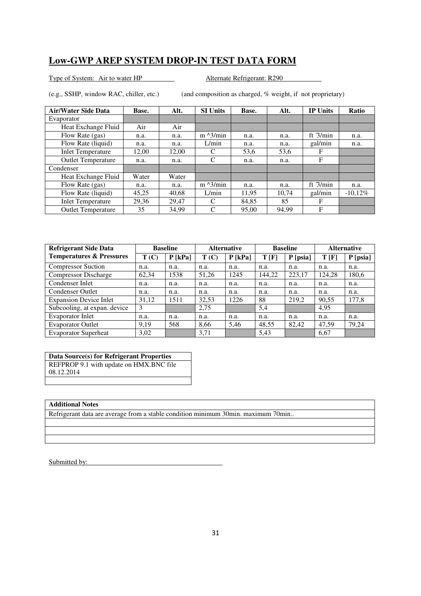Type of System: Air to water HP Alternate Refrigerant: R290

(e.g., SSHP, window RAC, chiller, etc.) (and composition as charged, % weight, if not proprietary)

| <b>Air/Water Side Data</b> | Base. | Alt.  | <b>SI Units</b>   | Base. | Alt.  | <b>IP Units</b> | Ratio      |
|----------------------------|-------|-------|-------------------|-------|-------|-----------------|------------|
| Evaporator                 |       |       |                   |       |       |                 |            |
| Heat Exchange Fluid        | Air   | Air   |                   |       |       |                 |            |
| Flow Rate (gas)            | n.a.  | n.a.  | $m \lambda$ 3/min | n.a.  | n.a.  | ft $3/min$      | n.a.       |
| Flow Rate (liquid)         | n.a.  | n.a.  | L/min             | n.a.  | n.a.  | gal/min         | n.a.       |
| <b>Inlet Temperature</b>   | 12,00 | 12,00 | C                 | 53,6  | 53,6  | F               |            |
| <b>Outlet Temperature</b>  | n.a.  | n.a.  | C                 | n.a.  | n.a.  | F               |            |
| Condenser                  |       |       |                   |       |       |                 |            |
| Heat Exchange Fluid        | Water | Water |                   |       |       |                 |            |
| Flow Rate (gas)            | n.a.  | n.a.  | $m \lambda$ 3/min | n.a.  | n.a.  | ft $3/min$      | n.a.       |
| Flow Rate (liquid)         | 45,25 | 40,68 | L/min             | 11,95 | 10,74 | gal/min         | $-10,12\%$ |
| <b>Inlet Temperature</b>   | 29,36 | 29,47 | C                 | 84,85 | 85    | F               |            |
| <b>Outlet Temperature</b>  | 35    | 34,99 | C                 | 95,00 | 94,99 | F               |            |

| <b>Refrigerant Side Data</b>        | <b>Baseline</b> |           | <b>Alternative</b> |           | <b>Baseline</b> |          | <b>Alternative</b> |            |
|-------------------------------------|-----------------|-----------|--------------------|-----------|-----------------|----------|--------------------|------------|
| <b>Temperatures &amp; Pressures</b> | T(C)            | $P$ [kPa] | T(C)               | $P$ [kPa] | T[F]            | P [psia] | T[F]               | $P$ [psia] |
| <b>Compressor Suction</b>           | n.a.            | n.a.      | n.a.               | n.a.      | n.a.            | n.a.     | n.a.               | n.a.       |
| <b>Compressor Discharge</b>         | 62,34           | 1538      | 51,26              | 1245      | 144,22          | 223,17   | 124,28             | 180,6      |
| Condenser Inlet                     | n.a.            | n.a.      | n.a.               | n.a.      | n.a.            | n.a.     | n.a.               | n.a.       |
| <b>Condenser Outlet</b>             | n.a.            | n.a.      | n.a.               | n.a.      | n.a.            | n.a.     | n.a.               | n.a.       |
| <b>Expansion Device Inlet</b>       | 31,12           | 1511      | 32,53              | 1226      | 88              | 219,2    | 90,55              | 177,8      |
| Subcooling, at expan. device        | 3               |           | 2,75               |           | 5,4             |          | 4,95               |            |
| Evaporator Inlet                    | n.a.            | n.a.      | n.a.               | n.a.      | n.a.            | n.a.     | n.a.               | n.a.       |
| <b>Evaporator Outlet</b>            | 9.19            | 568       | 8.66               | 5,46      | 48,55           | 82,42    | 47,59              | 79,24      |
| <b>Evaporator Superheat</b>         | 3,02            |           | 3,71               |           | 5,43            |          | 6,67               |            |

### **Data Source(s) for Refrigerant Properties**

REFPROP 9.1 with update on HMX.BNC file 08.12.2014

### **Additional Notes**

Refrigerant data are average from a stable condition minimum 30min. maximum 70min..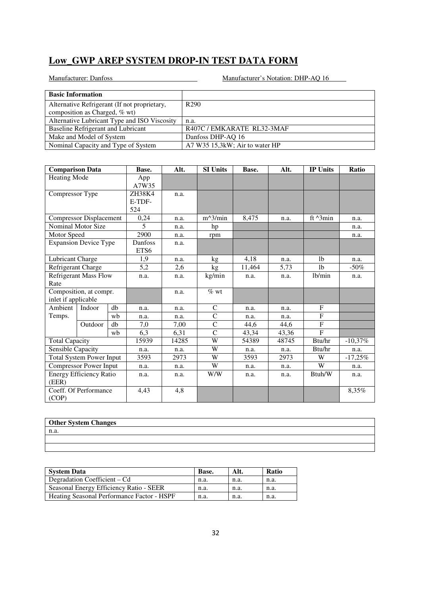| <b>Basic Information</b>                     |                                |
|----------------------------------------------|--------------------------------|
| Alternative Refrigerant (If not proprietary, | R <sub>290</sub>               |
| composition as Charged, % wt)                |                                |
| Alternative Lubricant Type and ISO Viscosity | n.a.                           |
| Baseline Refrigerant and Lubricant           | R407C / EMKARATE RL32-3MAF     |
| Make and Model of System                     | Danfoss DHP-AQ 16              |
| Nominal Capacity and Type of System          | A7 W35 15,3kW; Air to water HP |

| <b>Comparison Data</b>       |                                 | Base. | Alt.         | <b>SI Units</b> | Base.        | Alt.  | <b>IP Units</b> | Ratio              |            |
|------------------------------|---------------------------------|-------|--------------|-----------------|--------------|-------|-----------------|--------------------|------------|
| <b>Heating Mode</b>          |                                 |       | App<br>A7W35 |                 |              |       |                 |                    |            |
| Compressor Type              |                                 |       | ZH38K4       | n.a.            |              |       |                 |                    |            |
|                              |                                 |       | E-TDF-       |                 |              |       |                 |                    |            |
|                              |                                 |       | 524          |                 |              |       |                 |                    |            |
|                              | <b>Compressor Displacement</b>  |       | 0,24         | n.a.            | $m^2/$ min   | 8,475 | n.a.            | ft $^{\wedge}3min$ | n.a.       |
|                              | Nominal Motor Size              |       | 5            | n.a.            | hp           |       |                 |                    | n.a.       |
| Motor Speed                  |                                 |       | 2900         | n.a.            | rpm          |       |                 |                    | n.a.       |
|                              | <b>Expansion Device Type</b>    |       | Danfoss      | n.a.            |              |       |                 |                    |            |
|                              |                                 |       | ETS6         |                 |              |       |                 |                    |            |
| Lubricant Charge             |                                 |       | 1,9          | n.a.            | kg           | 4,18  | n.a.            | 1 <sub>b</sub>     | n.a.       |
| Refrigerant Charge           |                                 | 5,2   | 2,6          | kg              | 11,464       | 5,73  | 1 <sub>b</sub>  | $-50\%$            |            |
| <b>Refrigerant Mass Flow</b> |                                 | n.a.  | n.a.         | kg/min          | n.a.         | n.a.  | lb/min          | n.a.               |            |
| Rate                         |                                 |       |              |                 |              |       |                 |                    |            |
| Composition, at compr.       |                                 |       |              | n.a.            | $\%$ wt      |       |                 |                    |            |
| inlet if applicable          |                                 |       |              |                 |              |       |                 |                    |            |
| Ambient                      | Indoor                          | db    | n.a.         | n.a.            | $\mathsf{C}$ | n.a.  | n.a.            | $\mathbf{F}$       |            |
| Temps.                       |                                 | wb    | n.a.         | n.a.            | $\mathsf{C}$ | n.a.  | n.a.            | F                  |            |
|                              | Outdoor                         | db    | 7,0          | 7,00            | $\mathbf C$  | 44,6  | 44,6            | F                  |            |
|                              |                                 | wh    | 6,3          | 6,31            | $\mathbf C$  | 43,34 | 43,36           | F                  |            |
| <b>Total Capacity</b>        |                                 |       | 15939        | 14285           | W            | 54389 | 48745           | Btu/hr             | $-10,37\%$ |
| Sensible Capacity            |                                 |       | n.a.         | n.a.            | W            | n.a.  | n.a.            | Btu/hr             | n.a.       |
|                              | <b>Total System Power Input</b> |       | 3593         | 2973            | W            | 3593  | 2973            | W                  | $-17,25\%$ |
|                              | <b>Compressor Power Input</b>   |       | n.a.         | n.a.            | W            | n.a.  | n.a.            | W                  | n.a.       |
|                              | <b>Energy Efficiency Ratio</b>  |       | n.a.         | n.a.            | W/W          | n.a.  | n.a.            | Btuh/W             | n.a.       |
| (EER)                        |                                 |       |              |                 |              |       |                 |                    |            |
|                              | Coeff. Of Performance           |       | 4,43         | 4,8             |              |       |                 |                    | 8,35%      |
| (COP)                        |                                 |       |              |                 |              |       |                 |                    |            |

| <b>Other System Changes</b> |  |
|-----------------------------|--|
| n.a.                        |  |
|                             |  |
|                             |  |

| <b>System Data</b>                         | Base. | Alt. | Ratio |
|--------------------------------------------|-------|------|-------|
| Degradation Coefficient – Cd               | n.a.  | n.a. | n.a.  |
| Seasonal Energy Efficiency Ratio - SEER    | n.a.  | n.a. | n.a.  |
| Heating Seasonal Performance Factor - HSPF | n.a.  | n.a. | n.a.  |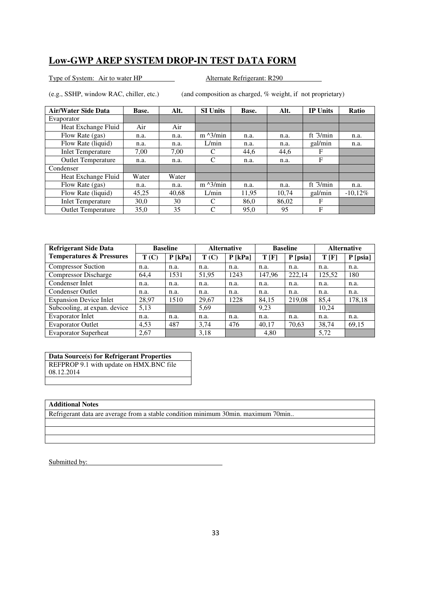Type of System: Air to water HP Alternate Refrigerant: R290

(e.g., SSHP, window RAC, chiller, etc.) (and composition as charged, % weight, if not proprietary)

| <b>Air/Water Side Data</b> | Base. | Alt.  | <b>SI Units</b>   | Base. | Alt.  | <b>IP Units</b> | Ratio      |
|----------------------------|-------|-------|-------------------|-------|-------|-----------------|------------|
| Evaporator                 |       |       |                   |       |       |                 |            |
| Heat Exchange Fluid        | Air   | Air   |                   |       |       |                 |            |
| Flow Rate (gas)            | n.a.  | n.a.  | $m \lambda$ 3/min | n.a.  | n.a.  | ft $3/min$      | n.a.       |
| Flow Rate (liquid)         | n.a.  | n.a.  | L/min             | n.a.  | n.a.  | gal/min         | n.a.       |
| <b>Inlet Temperature</b>   | 7,00  | 7.00  | C                 | 44,6  | 44,6  | F               |            |
| <b>Outlet Temperature</b>  | n.a.  | n.a.  | C                 | n.a.  | n.a.  | F               |            |
| Condenser                  |       |       |                   |       |       |                 |            |
| Heat Exchange Fluid        | Water | Water |                   |       |       |                 |            |
| Flow Rate (gas)            | n.a.  | n.a.  | $m \lambda$ 3/min | n.a.  | n.a.  | ft $3/min$      | n.a.       |
| Flow Rate (liquid)         | 45,25 | 40.68 | L/min             | 11,95 | 10,74 | gal/min         | $-10,12\%$ |
| <b>Inlet Temperature</b>   | 30,0  | 30    | C                 | 86.0  | 86,02 | F               |            |
| <b>Outlet Temperature</b>  | 35,0  | 35    | C                 | 95,0  | 95    | F               |            |

| <b>Refrigerant Side Data</b>        | <b>Baseline</b> |           | <b>Alternative</b> |           | <b>Baseline</b> |            | <b>Alternative</b> |            |
|-------------------------------------|-----------------|-----------|--------------------|-----------|-----------------|------------|--------------------|------------|
| <b>Temperatures &amp; Pressures</b> | T(C)            | $P$ [kPa] | T(C)               | $P$ [kPa] | T[F]            | $P$ [psia] | T[F]               | $P$ [psia] |
| <b>Compressor Suction</b>           | n.a.            | n.a.      | n.a.               | n.a.      | n.a.            | n.a.       | n.a.               | n.a.       |
| <b>Compressor Discharge</b>         | 64,4            | 1531      | 51,95              | 1243      | 147,96          | 222,14     | 125,52             | 180        |
| Condenser Inlet                     | n.a.            | n.a.      | n.a.               | n.a.      | n.a.            | n.a.       | n.a.               | n.a.       |
| <b>Condenser Outlet</b>             | n.a.            | n.a.      | n.a.               | n.a.      | n.a.            | n.a.       | n.a.               | n.a.       |
| <b>Expansion Device Inlet</b>       | 28,97           | 1510      | 29,67              | 1228      | 84,15           | 219,08     | 85,4               | 178,18     |
| Subcooling, at expan. device        | 5,13            |           | 5,69               |           | 9,23            |            | 10,24              |            |
| Evaporator Inlet                    | n.a.            | n.a.      | n.a.               | n.a.      | n.a.            | n.a.       | n.a.               | n.a.       |
| <b>Evaporator Outlet</b>            | 4.53            | 487       | 3,74               | 476       | 40,17           | 70,63      | 38,74              | 69,15      |
| <b>Evaporator Superheat</b>         | 2,67            |           | 3,18               |           | 4,80            |            | 5,72               |            |

### **Data Source(s) for Refrigerant Properties**

REFPROP 9.1 with update on HMX.BNC file 08.12.2014

### **Additional Notes**

Refrigerant data are average from a stable condition minimum 30min. maximum 70min..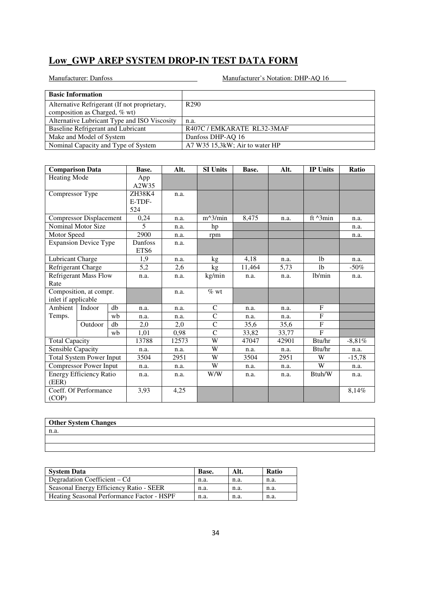| <b>Basic Information</b>                     |                                |
|----------------------------------------------|--------------------------------|
| Alternative Refrigerant (If not proprietary, | R <sub>290</sub>               |
| composition as Charged, % wt)                |                                |
| Alternative Lubricant Type and ISO Viscosity | n.a.                           |
| Baseline Refrigerant and Lubricant           | R407C / EMKARATE RL32-3MAF     |
| Make and Model of System                     | Danfoss DHP-AQ 16              |
| Nominal Capacity and Type of System          | A7 W35 15,3kW; Air to water HP |

| <b>Comparison Data</b>       |                                 | Base. | Alt.                     | <b>SI Units</b> | Base.         | Alt.  | <b>IP Units</b> | Ratio              |           |
|------------------------------|---------------------------------|-------|--------------------------|-----------------|---------------|-------|-----------------|--------------------|-----------|
| <b>Heating Mode</b>          |                                 |       | App<br>A2W35             |                 |               |       |                 |                    |           |
| Compressor Type              |                                 |       | ZH38K4                   | n.a.            |               |       |                 |                    |           |
|                              |                                 |       | E-TDF-                   |                 |               |       |                 |                    |           |
|                              |                                 |       | 524                      |                 |               |       |                 |                    |           |
|                              | Compressor Displacement         |       | 0,24                     | n.a.            | $m^3/m$ in    | 8,475 | n.a.            | ft $^{\wedge}3min$ | n.a.      |
|                              | Nominal Motor Size              |       | $\overline{\phantom{0}}$ | n.a.            | hp            |       |                 |                    | n.a.      |
| Motor Speed                  |                                 |       | 2900                     | n.a.            | rpm           |       |                 |                    | n.a.      |
|                              | <b>Expansion Device Type</b>    |       | Danfoss                  | n.a.            |               |       |                 |                    |           |
|                              |                                 |       | ETS6                     |                 |               |       |                 |                    |           |
| Lubricant Charge             |                                 |       | 1,9                      | n.a.            | kg            | 4,18  | n.a.            | 1 <sub>b</sub>     | n.a.      |
| Refrigerant Charge           |                                 | 5,2   | 2,6                      | kg              | 11,464        | 5,73  | 1 <sub>b</sub>  | $-50\%$            |           |
| <b>Refrigerant Mass Flow</b> |                                 | n.a.  | n.a.                     | kg/min          | n.a.          | n.a.  | lb/min          | n.a.               |           |
| Rate                         |                                 |       |                          |                 |               |       |                 |                    |           |
|                              | Composition, at compr.          |       |                          | n.a.            | $%$ wt        |       |                 |                    |           |
| inlet if applicable          |                                 |       |                          |                 |               |       |                 |                    |           |
| Ambient                      | Indoor                          | db    | n.a.                     | n.a.            | C             | n.a.  | n.a.            | F                  |           |
| Temps.                       |                                 | wb    | n.a.                     | n.a.            | $\mathsf{C}$  | n.a.  | n.a.            | $\mathbf{F}$       |           |
|                              | Outdoor                         | db    | 2,0                      | 2,0             | $\mathsf{C}$  | 35,6  | 35,6            | F                  |           |
|                              |                                 | wb    | 1,01                     | 0,98            | $\mathcal{C}$ | 33,82 | 33,77           | F                  |           |
| <b>Total Capacity</b>        |                                 |       | 13788                    | 12573           | W             | 47047 | 42901           | Btu/hr             | $-8.81\%$ |
| Sensible Capacity            |                                 |       | n.a.                     | n.a.            | W             | n.a.  | n.a.            | Btu/hr             | n.a.      |
|                              | <b>Total System Power Input</b> |       | 3504                     | 2951            | W             | 3504  | 2951            | W                  | $-15,78$  |
|                              | <b>Compressor Power Input</b>   |       | n.a.                     | n.a.            | W             | n.a.  | n.a.            | W                  | n.a.      |
| (EER)                        | <b>Energy Efficiency Ratio</b>  |       | n.a.                     | n.a.            | W/W           | n.a.  | n.a.            | Btuh/W             | n.a.      |
|                              | Coeff. Of Performance           |       | 3,93                     | 4,25            |               |       |                 |                    | 8,14%     |
| (COP)                        |                                 |       |                          |                 |               |       |                 |                    |           |
|                              |                                 |       |                          |                 |               |       |                 |                    |           |

| <b>Other System Changes</b> |  |
|-----------------------------|--|
| n.a.                        |  |
|                             |  |
|                             |  |

| <b>System Data</b>                         | Base. | Alt. | Ratio |
|--------------------------------------------|-------|------|-------|
| Degradation Coefficient – Cd               | n.a.  | n.a. | n.a.  |
| Seasonal Energy Efficiency Ratio - SEER    | n.a.  | n.a. | n.a.  |
| Heating Seasonal Performance Factor - HSPF | n.a.  | n.a. | n.a.  |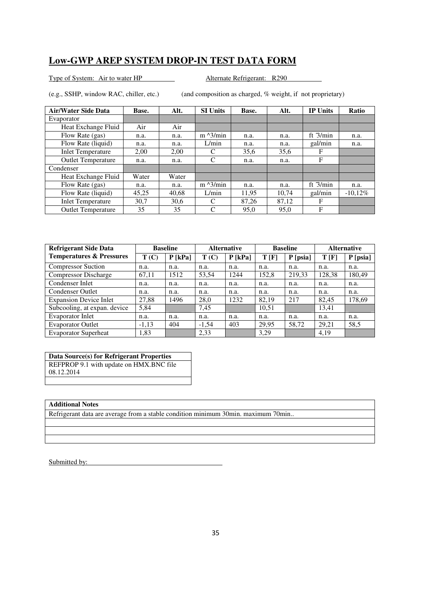Type of System: Air to water HP Alternate Refrigerant: R290

(e.g., SSHP, window RAC, chiller, etc.) (and composition as charged, % weight, if not proprietary)

| <b>Air/Water Side Data</b> | Base. | Alt.  | <b>SI Units</b>   | Base. | Alt.  | <b>IP Units</b> | Ratio      |
|----------------------------|-------|-------|-------------------|-------|-------|-----------------|------------|
| Evaporator                 |       |       |                   |       |       |                 |            |
| Heat Exchange Fluid        | Air   | Air   |                   |       |       |                 |            |
| Flow Rate (gas)            | n.a.  | n.a.  | $m \lambda$ 3/min | n.a.  | n.a.  | ft $3/min$      | n.a.       |
| Flow Rate (liquid)         | n.a.  | n.a.  | L/min             | n.a.  | n.a.  | gal/min         | n.a.       |
| <b>Inlet Temperature</b>   | 2.00  | 2.00  | C                 | 35,6  | 35,6  | F               |            |
| <b>Outlet Temperature</b>  | n.a.  | n.a.  | C                 | n.a.  | n.a.  | F               |            |
| Condenser                  |       |       |                   |       |       |                 |            |
| Heat Exchange Fluid        | Water | Water |                   |       |       |                 |            |
| Flow Rate (gas)            | n.a.  | n.a.  | $m \lambda$ 3/min | n.a.  | n.a.  | ft $3/min$      | n.a.       |
| Flow Rate (liquid)         | 45,25 | 40.68 | L/min             | 11,95 | 10,74 | gal/min         | $-10,12\%$ |
| <b>Inlet Temperature</b>   | 30.7  | 30.6  | C                 | 87,26 | 87,12 | F               |            |
| <b>Outlet Temperature</b>  | 35    | 35    | C                 | 95,0  | 95,0  | F               |            |

| <b>Refrigerant Side Data</b>        |         | <b>Baseline</b> |         | <b>Alternative</b> |       | <b>Baseline</b> |        | <b>Alternative</b> |  |
|-------------------------------------|---------|-----------------|---------|--------------------|-------|-----------------|--------|--------------------|--|
| <b>Temperatures &amp; Pressures</b> | T(C)    | $P$ [kPa]       | T(C)    | $P$ [kPa]          | T[F]  | $P$ [psia]      | T[F]   | $P$ [psia]         |  |
| <b>Compressor Suction</b>           | n.a.    | n.a.            | n.a.    | n.a.               | n.a.  | n.a.            | n.a.   | n.a.               |  |
| <b>Compressor Discharge</b>         | 67,11   | 1512            | 53,54   | 1244               | 152,8 | 219,33          | 128,38 | 180,49             |  |
| Condenser Inlet                     | n.a.    | n.a.            | n.a.    | n.a.               | n.a.  | n.a.            | n.a.   | n.a.               |  |
| <b>Condenser Outlet</b>             | n.a.    | n.a.            | n.a.    | n.a.               | n.a.  | n.a.            | n.a.   | n.a.               |  |
| <b>Expansion Device Inlet</b>       | 27,88   | 1496            | 28,0    | 1232               | 82.19 | 217             | 82.45  | 178,69             |  |
| Subcooling, at expan. device        | 5,84    |                 | 7,45    |                    | 10,51 |                 | 13,41  |                    |  |
| <b>Evaporator Inlet</b>             | n.a.    | n.a.            | n.a.    | n.a.               | n.a.  | n.a.            | n.a.   | n.a.               |  |
| <b>Evaporator Outlet</b>            | $-1,13$ | 404             | $-1,54$ | 403                | 29,95 | 58,72           | 29,21  | 58,5               |  |
| <b>Evaporator Superheat</b>         | 1,83    |                 | 2,33    |                    | 3,29  |                 | 4,19   |                    |  |

### **Data Source(s) for Refrigerant Properties**

REFPROP 9.1 with update on HMX.BNC file 08.12.2014

### **Additional Notes**

Refrigerant data are average from a stable condition minimum 30min. maximum 70min..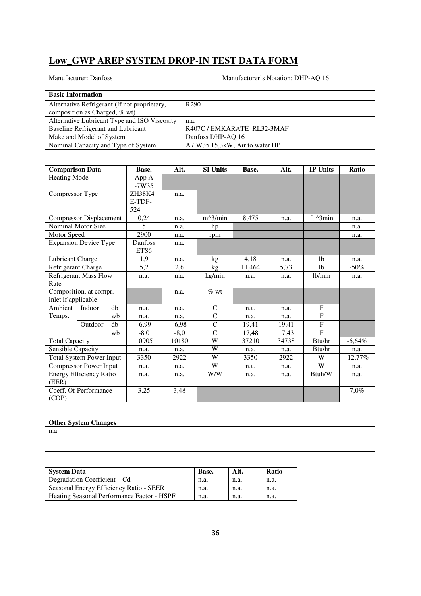| <b>Basic Information</b>                     |                                |
|----------------------------------------------|--------------------------------|
| Alternative Refrigerant (If not proprietary, | R <sub>290</sub>               |
| composition as Charged, % wt)                |                                |
| Alternative Lubricant Type and ISO Viscosity | n.a.                           |
| Baseline Refrigerant and Lubricant           | R407C / EMKARATE RL32-3MAF     |
| Make and Model of System                     | Danfoss DHP-AQ 16              |
| Nominal Capacity and Type of System          | A7 W35 15,3kW; Air to water HP |

| <b>Comparison Data</b>       |                                 | Base.  | Alt.    | <b>SI Units</b> | Base.        | Alt.  | <b>IP Units</b> | Ratio              |            |
|------------------------------|---------------------------------|--------|---------|-----------------|--------------|-------|-----------------|--------------------|------------|
| <b>Heating Mode</b>          |                                 | App A  |         |                 |              |       |                 |                    |            |
|                              |                                 |        | $-7W35$ |                 |              |       |                 |                    |            |
| Compressor Type              |                                 |        | ZH38K4  | n.a.            |              |       |                 |                    |            |
|                              |                                 | E-TDF- |         |                 |              |       |                 |                    |            |
|                              |                                 | 524    |         |                 |              |       |                 |                    |            |
|                              | Compressor Displacement         |        | 0,24    | n.a.            | $m^2/$ min   | 8,475 | n.a.            | ft $^{\wedge}3min$ | n.a.       |
|                              | Nominal Motor Size              |        | 5       | n.a.            | hp           |       |                 |                    | n.a.       |
| Motor Speed                  |                                 |        | 2900    | n.a.            | rpm          |       |                 |                    | n.a.       |
|                              | <b>Expansion Device Type</b>    |        | Danfoss | n.a.            |              |       |                 |                    |            |
|                              |                                 |        | ETS6    |                 |              |       |                 |                    |            |
| Lubricant Charge             |                                 |        | 1,9     | n.a.            | kg           | 4,18  | n.a.            | 1 <sub>b</sub>     | n.a.       |
| Refrigerant Charge           |                                 | 5,2    | 2,6     | kg              | 11,464       | 5,73  | 1 <sub>b</sub>  | $-50\%$            |            |
| <b>Refrigerant Mass Flow</b> |                                 | n.a.   | n.a.    | kg/min          | n.a.         | n.a.  | lb/min          | n.a.               |            |
| Rate                         |                                 |        |         |                 |              |       |                 |                    |            |
|                              | Composition, at compr.          |        |         | n.a.            | $\%$ wt      |       |                 |                    |            |
| inlet if applicable          |                                 |        |         |                 |              |       |                 |                    |            |
| Ambient                      | Indoor                          | db     | n.a.    | n.a.            | $\mathsf{C}$ | n.a.  | n.a.            | $\mathbf{F}$       |            |
| Temps.                       |                                 | wb     | n.a.    | n.a.            | $\mathsf{C}$ | n.a.  | n.a.            | F                  |            |
|                              | Outdoor                         | db     | $-6,99$ | $-6,98$         | $\mathbf C$  | 19,41 | 19,41           | F                  |            |
|                              |                                 | wh     | $-8,0$  | $-8,0$          | $\mathbf C$  | 17,48 | 17,43           | F                  |            |
| <b>Total Capacity</b>        |                                 |        | 10905   | 10180           | W            | 37210 | 34738           | Btu/hr             | $-6,64%$   |
| Sensible Capacity            |                                 |        | n.a.    | n.a.            | W            | n.a.  | n.a.            | Btu/hr             | n.a.       |
|                              | <b>Total System Power Input</b> |        | 3350    | 2922            | W            | 3350  | 2922            | W                  | $-12,77\%$ |
|                              | <b>Compressor Power Input</b>   |        | n.a.    | n.a.            | W            | n.a.  | n.a.            | W                  | n.a.       |
|                              | <b>Energy Efficiency Ratio</b>  |        | n.a.    | n.a.            | W/W          | n.a.  | n.a.            | Btuh/W             | n.a.       |
| (EER)                        |                                 |        |         |                 |              |       |                 |                    |            |
|                              | Coeff. Of Performance           |        | 3,25    | 3,48            |              |       |                 |                    | 7,0%       |
| (COP)                        |                                 |        |         |                 |              |       |                 |                    |            |

| <b>Other System Changes</b> |  |
|-----------------------------|--|
| n.a.                        |  |
|                             |  |
|                             |  |

| <b>System Data</b>                         | Base. | Alt. | <b>Ratio</b> |
|--------------------------------------------|-------|------|--------------|
| Degradation Coefficient – Cd               | n.a.  | n.a. | n.a.         |
| Seasonal Energy Efficiency Ratio - SEER    | n.a.  | n.a. | n.a.         |
| Heating Seasonal Performance Factor - HSPF | n.a.  | n.a. | n.a.         |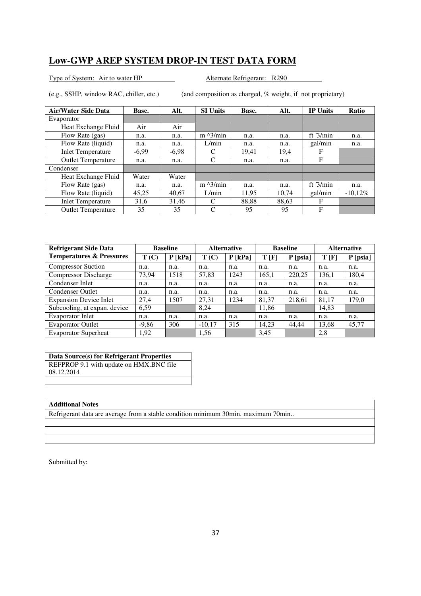Type of System: Air to water HP Alternate Refrigerant: R290

(e.g., SSHP, window RAC, chiller, etc.) (and composition as charged, % weight, if not proprietary)

| <b>Air/Water Side Data</b> | Base.   | Alt.    | <b>SI Units</b>   | Base. | Alt.  | <b>IP Units</b> | Ratio      |
|----------------------------|---------|---------|-------------------|-------|-------|-----------------|------------|
| Evaporator                 |         |         |                   |       |       |                 |            |
| Heat Exchange Fluid        | Air     | Air     |                   |       |       |                 |            |
| Flow Rate (gas)            | n.a.    | n.a.    | $m \lambda$ 3/min | n.a.  | n.a.  | ft $3/min$      | n.a.       |
| Flow Rate (liquid)         | n.a.    | n.a.    | L/min             | n.a.  | n.a.  | gal/min         | n.a.       |
| <b>Inlet Temperature</b>   | $-6,99$ | $-6,98$ | C                 | 19,41 | 19,4  | F               |            |
| <b>Outlet Temperature</b>  | n.a.    | n.a.    | C                 | n.a.  | n.a.  | F               |            |
| Condenser                  |         |         |                   |       |       |                 |            |
| Heat Exchange Fluid        | Water   | Water   |                   |       |       |                 |            |
| Flow Rate (gas)            | n.a.    | n.a.    | $m \lambda$ 3/min | n.a.  | n.a.  | ft $3/min$      | n.a.       |
| Flow Rate (liquid)         | 45,25   | 40.67   | L/min             | 11,95 | 10,74 | gal/min         | $-10,12\%$ |
| <b>Inlet Temperature</b>   | 31,6    | 31.46   | C                 | 88.88 | 88,63 | F               |            |
| <b>Outlet Temperature</b>  | 35      | 35      | C                 | 95    | 95    | F               |            |

| <b>Refrigerant Side Data</b>        |         | <b>Baseline</b> |          | <b>Alternative</b> |       | <b>Baseline</b> |       | <b>Alternative</b> |  |
|-------------------------------------|---------|-----------------|----------|--------------------|-------|-----------------|-------|--------------------|--|
| <b>Temperatures &amp; Pressures</b> | T(C)    | $P$ [kPa]       | T(C)     | $P$ [kPa]          | T[F]  | P [psia]        | T[F]  | $P$ [psia]         |  |
| <b>Compressor Suction</b>           | n.a.    | n.a.            | n.a.     | n.a.               | n.a.  | n.a.            | n.a.  | n.a.               |  |
| <b>Compressor Discharge</b>         | 73,94   | 1518            | 57,83    | 1243               | 165,1 | 220,25          | 136,1 | 180,4              |  |
| Condenser Inlet                     | n.a.    | n.a.            | n.a.     | n.a.               | n.a.  | n.a.            | n.a.  | n.a.               |  |
| <b>Condenser Outlet</b>             | n.a.    | n.a.            | n.a.     | n.a.               | n.a.  | n.a.            | n.a.  | n.a.               |  |
| <b>Expansion Device Inlet</b>       | 27.4    | 1507            | 27,31    | 1234               | 81,37 | 218,61          | 81,17 | 179,0              |  |
| Subcooling, at expan. device        | 6.59    |                 | 8,24     |                    | 11,86 |                 | 14,83 |                    |  |
| Evaporator Inlet                    | n.a.    | n.a.            | n.a.     | n.a.               | n.a.  | n.a.            | n.a.  | n.a.               |  |
| <b>Evaporator Outlet</b>            | $-9,86$ | 306             | $-10,17$ | 315                | 14,23 | 44,44           | 13,68 | 45,77              |  |
| <b>Evaporator Superheat</b>         | 1,92    |                 | 1,56     |                    | 3,45  |                 | 2,8   |                    |  |

### **Data Source(s) for Refrigerant Properties**

REFPROP 9.1 with update on HMX.BNC file 08.12.2014

### **Additional Notes**

Refrigerant data are average from a stable condition minimum 30min. maximum 70min..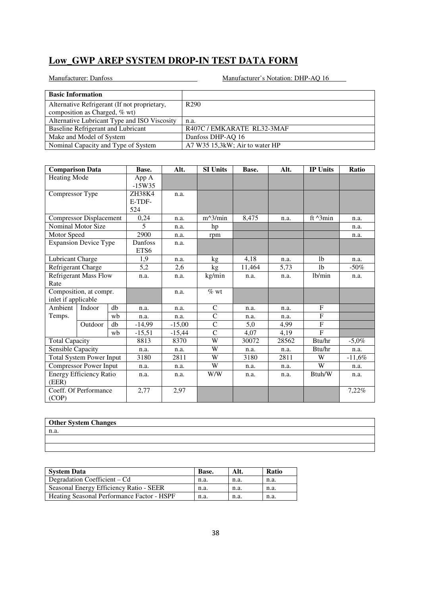| <b>Basic Information</b>                     |                                |
|----------------------------------------------|--------------------------------|
| Alternative Refrigerant (If not proprietary, | R <sub>290</sub>               |
| composition as Charged, % wt)                |                                |
| Alternative Lubricant Type and ISO Viscosity | n.a.                           |
| Baseline Refrigerant and Lubricant           | R407C / EMKARATE RL32-3MAF     |
| Make and Model of System                     | Danfoss DHP-AQ 16              |
| Nominal Capacity and Type of System          | A7 W35 15,3kW; Air to water HP |

| <b>Comparison Data</b>       |                                 | Base. | Alt.              | <b>SI Units</b> | Base.         | Alt.  | <b>IP Units</b> | Ratio              |           |
|------------------------------|---------------------------------|-------|-------------------|-----------------|---------------|-------|-----------------|--------------------|-----------|
| <b>Heating Mode</b>          |                                 |       | App A<br>$-15W35$ |                 |               |       |                 |                    |           |
| Compressor Type              |                                 |       | ZH38K4            | n.a.            |               |       |                 |                    |           |
|                              |                                 |       | E-TDF-            |                 |               |       |                 |                    |           |
|                              |                                 | 524   |                   |                 |               |       |                 |                    |           |
|                              | Compressor Displacement         |       | 0,24              | n.a.            | $m^3/m$ in    | 8,475 | n.a.            | ft $^{\wedge}3min$ | n.a.      |
|                              | Nominal Motor Size              |       | $\overline{5}$    | n.a.            | hp            |       |                 |                    | n.a.      |
| Motor Speed                  |                                 |       | 2900              | n.a.            | rpm           |       |                 |                    | n.a.      |
|                              | <b>Expansion Device Type</b>    |       | Danfoss           | n.a.            |               |       |                 |                    |           |
|                              |                                 |       | ETS6              |                 |               |       |                 |                    |           |
| Lubricant Charge             |                                 |       | 1,9               | n.a.            | kg            | 4,18  | n.a.            | 1 <sub>b</sub>     | n.a.      |
| Refrigerant Charge           |                                 | 5,2   | 2,6               | kg              | 11,464        | 5,73  | 1 <sub>b</sub>  | $-50\%$            |           |
| <b>Refrigerant Mass Flow</b> |                                 | n.a.  | n.a.              | kg/min          | n.a.          | n.a.  | lb/min          | n.a.               |           |
| Rate                         |                                 |       |                   |                 |               |       |                 |                    |           |
|                              | Composition, at compr.          |       |                   | n.a.            | $%$ wt        |       |                 |                    |           |
| inlet if applicable          |                                 |       |                   |                 |               |       |                 |                    |           |
| Ambient                      | Indoor                          | db    | n.a.              | n.a.            | C             | n.a.  | n.a.            | F                  |           |
| Temps.                       |                                 | wb    | n.a.              | n.a.            | $\mathsf{C}$  | n.a.  | n.a.            | $\mathbf{F}$       |           |
|                              | Outdoor                         | db    | -14,99            | $-15,00$        | $\mathsf{C}$  | 5,0   | 4,99            | F                  |           |
|                              |                                 | wb    | $-15,51$          | $-15,44$        | $\mathcal{C}$ | 4,07  | 4,19            | $\overline{F}$     |           |
| <b>Total Capacity</b>        |                                 |       | 8813              | 8370            | W             | 30072 | 28562           | Btu/hr             | $-5.0\%$  |
| Sensible Capacity            |                                 |       | n.a.              | n.a.            | W             | n.a.  | n.a.            | Btu/hr             | n.a.      |
|                              | <b>Total System Power Input</b> |       | 3180              | 2811            | W             | 3180  | 2811            | W                  | $-11,6\%$ |
|                              | <b>Compressor Power Input</b>   |       | n.a.              | n.a.            | W             | n.a.  | n.a.            | W                  | n.a.      |
| (EER)                        | <b>Energy Efficiency Ratio</b>  |       | n.a.              | n.a.            | W/W           | n.a.  | n.a.            | Btuh/W             | n.a.      |
|                              | Coeff. Of Performance           |       | 2,77              | 2,97            |               |       |                 |                    | 7,22%     |
| (COP)                        |                                 |       |                   |                 |               |       |                 |                    |           |

| <b>Other System Changes</b> |  |
|-----------------------------|--|
| n.a.                        |  |
|                             |  |
|                             |  |

| <b>System Data</b>                         | Base. | Alt. | <b>Ratio</b> |
|--------------------------------------------|-------|------|--------------|
| Degradation Coefficient – Cd               | n.a.  | n.a. | n.a.         |
| Seasonal Energy Efficiency Ratio - SEER    | n.a.  | n.a. | n.a.         |
| Heating Seasonal Performance Factor - HSPF | n.a.  | n.a. | n.a.         |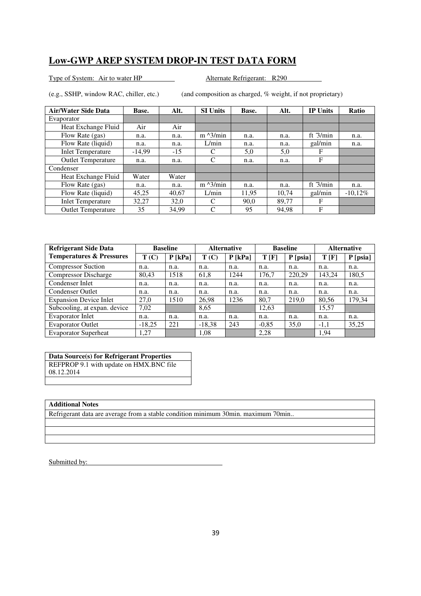Type of System: Air to water HP Alternate Refrigerant: R290

(e.g., SSHP, window RAC, chiller, etc.) (and composition as charged, % weight, if not proprietary)

| <b>Air/Water Side Data</b> | Base.    | Alt.  | <b>SI Units</b>   | Base. | Alt.  | <b>IP Units</b> | Ratio      |
|----------------------------|----------|-------|-------------------|-------|-------|-----------------|------------|
| Evaporator                 |          |       |                   |       |       |                 |            |
| Heat Exchange Fluid        | Air      | Air   |                   |       |       |                 |            |
| Flow Rate (gas)            | n.a.     | n.a.  | $m \lambda$ 3/min | n.a.  | n.a.  | ft $3/min$      | n.a.       |
| Flow Rate (liquid)         | n.a.     | n.a.  | L/min             | n.a.  | n.a.  | gal/min         | n.a.       |
| <b>Inlet Temperature</b>   | $-14,99$ | $-15$ | C                 | 5,0   | 5,0   | F               |            |
| <b>Outlet Temperature</b>  | n.a.     | n.a.  | C                 | n.a.  | n.a.  | F               |            |
| Condenser                  |          |       |                   |       |       |                 |            |
| Heat Exchange Fluid        | Water    | Water |                   |       |       |                 |            |
| Flow Rate (gas)            | n.a.     | n.a.  | $m \lambda$ 3/min | n.a.  | n.a.  | ft $3/min$      | n.a.       |
| Flow Rate (liquid)         | 45,25    | 40.67 | L/min             | 11,95 | 10,74 | gal/min         | $-10,12\%$ |
| <b>Inlet Temperature</b>   | 32,27    | 32,0  | C                 | 90.0  | 89.77 | F               |            |
| <b>Outlet Temperature</b>  | 35       | 34.99 | C                 | 95    | 94,98 | F               |            |

| <b>Refrigerant Side Data</b>        | <b>Baseline</b> |           | <b>Alternative</b> |           | <b>Baseline</b> |            | <b>Alternative</b> |            |
|-------------------------------------|-----------------|-----------|--------------------|-----------|-----------------|------------|--------------------|------------|
| <b>Temperatures &amp; Pressures</b> | T(C)            | $P$ [kPa] | T(C)               | $P$ [kPa] | T[F]            | $P$ [psia] | T[F]               | $P$ [psia] |
| <b>Compressor Suction</b>           | n.a.            | n.a.      | n.a.               | n.a.      | n.a.            | n.a.       | n.a.               | n.a.       |
| <b>Compressor Discharge</b>         | 80,43           | 1518      | 61,8               | 1244      | 176,7           | 220,29     | 143,24             | 180,5      |
| Condenser Inlet                     | n.a.            | n.a.      | n.a.               | n.a.      | n.a.            | n.a.       | n.a.               | n.a.       |
| <b>Condenser Outlet</b>             | n.a.            | n.a.      | n.a.               | n.a.      | n.a.            | n.a.       | n.a.               | n.a.       |
| <b>Expansion Device Inlet</b>       | 27.0            | 1510      | 26,98              | 1236      | 80.7            | 219,0      | 80,56              | 179,34     |
| Subcooling, at expan. device        | 7,02            |           | 8,65               |           | 12,63           |            | 15,57              |            |
| Evaporator Inlet                    | n.a.            | n.a.      | n.a.               | n.a.      | n.a.            | n.a.       | n.a.               | n.a.       |
| <b>Evaporator Outlet</b>            | $-18,25$        | 221       | $-18,38$           | 243       | $-0,85$         | 35,0       | $-1,1$             | 35,25      |
| <b>Evaporator Superheat</b>         | 1.27            |           | 1,08               |           | 2.28            |            | 1,94               |            |

### **Data Source(s) for Refrigerant Properties**

REFPROP 9.1 with update on HMX.BNC file 08.12.2014

### **Additional Notes**

Refrigerant data are average from a stable condition minimum 30min. maximum 70min..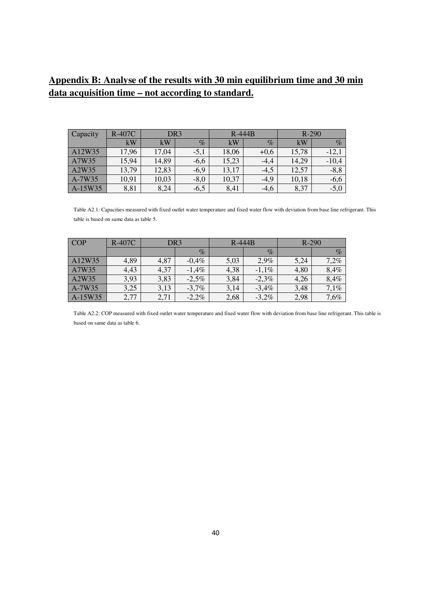## **Appendix B: Analyse of the results with 30 min equilibrium time and 30 min data acquisition time – not according to standard.**

| Capacity | <b>R-407C</b> | DR <sub>3</sub> |        | $R-444B$ |        | $R-290$ |         |
|----------|---------------|-----------------|--------|----------|--------|---------|---------|
|          | kW            | kW              | $\%$   | kW       | $\%$   | kW      | $\%$    |
| A12W35   | 17,96         | 17,04           | $-5,1$ | 18,06    | $+0,6$ | 15,78   | $-12,$  |
| A7W35    | 15,94         | 14,89           | $-6,6$ | 15,23    | $-4,4$ | 14,29   | $-10,4$ |
| A2W35    | 13,79         | 12,83           | $-6,9$ | 13,17    | $-4,5$ | 12,57   | $-8, 8$ |
| $A-7W35$ | 10,91         | 10,03           | $-8,0$ | 10,37    | $-4,9$ | 10,18   | $-6,6$  |
| A-15W35  | 8,81          | 8,24            | $-6,5$ | 8,41     | $-4,6$ | 8,37    | $-5,0$  |

Table A2.1: Capacities measured with fixed outlet water temperature and fixed water flow with deviation from base line refrigerant. This table is based on same data as table 5.

| <b>COP</b> | <b>R-407C</b> | DR <sub>3</sub> |          | $R-444B$ |         | $R-290$ |      |
|------------|---------------|-----------------|----------|----------|---------|---------|------|
|            |               |                 | $\%$     |          | $\%$    |         | $\%$ |
| A12W35     | 4,89          | 4,87            | $-0.4\%$ | 5,03     | 2,9%    | 5,24    | 7,2% |
| A7W35      | 4,43          | 4,37            | $-1,4%$  | 4,38     | $-1,1%$ | 4,80    | 8,4% |
| A2W35      | 3,93          | 3,83            | $-2,5%$  | 3,84     | $-2,3%$ | 4,26    | 8,4% |
| $A-7W35$   | 3,25          | 3,13            | $-3,7%$  | 3,14     | $-3,4%$ | 3,48    | 7,1% |
| $A-15W35$  | 2,77          | 2,71            | $-2,2%$  | 2,68     | $-3,2%$ | 2,98    | 7,6% |

Table A2.2: COP measured with fixed outlet water temperature and fixed water flow with deviation from base line refrigerant. This table is based on same data as table 6.